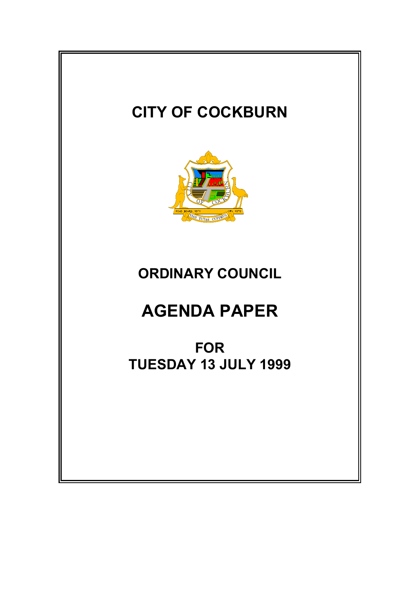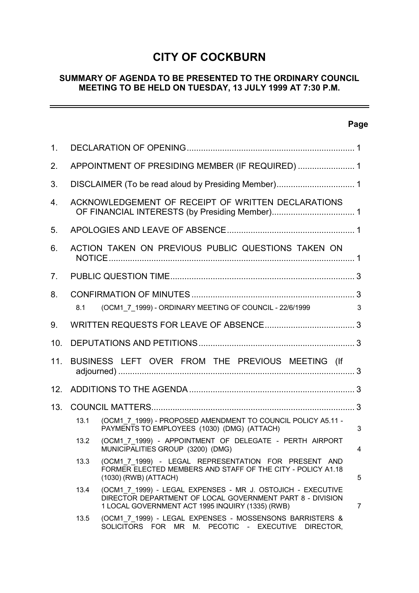# **CITY OF COCKBURN**

# **SUMMARY OF AGENDA TO BE PRESENTED TO THE ORDINARY COUNCIL MEETING TO BE HELD ON TUESDAY, 13 JULY 1999 AT 7:30 P.M.**

# **Page**

 $\overline{\phantom{0}}$ 

| 1.  |                                                    |                                                                                                                                                                              |                |  |  |  |
|-----|----------------------------------------------------|------------------------------------------------------------------------------------------------------------------------------------------------------------------------------|----------------|--|--|--|
| 2.  | APPOINTMENT OF PRESIDING MEMBER (IF REQUIRED)  1   |                                                                                                                                                                              |                |  |  |  |
| 3.  |                                                    |                                                                                                                                                                              |                |  |  |  |
| 4.  | ACKNOWLEDGEMENT OF RECEIPT OF WRITTEN DECLARATIONS |                                                                                                                                                                              |                |  |  |  |
| 5.  |                                                    |                                                                                                                                                                              |                |  |  |  |
| 6.  | ACTION TAKEN ON PREVIOUS PUBLIC QUESTIONS TAKEN ON |                                                                                                                                                                              |                |  |  |  |
| 7.  |                                                    |                                                                                                                                                                              |                |  |  |  |
| 8.  |                                                    |                                                                                                                                                                              |                |  |  |  |
|     | 8.1                                                | (OCM1 7 1999) - ORDINARY MEETING OF COUNCIL - 22/6/1999                                                                                                                      | 3              |  |  |  |
| 9.  |                                                    |                                                                                                                                                                              |                |  |  |  |
| 10. |                                                    |                                                                                                                                                                              |                |  |  |  |
| 11. | BUSINESS LEFT OVER FROM THE PREVIOUS MEETING (If   |                                                                                                                                                                              |                |  |  |  |
| 12. |                                                    |                                                                                                                                                                              |                |  |  |  |
| 13. |                                                    |                                                                                                                                                                              |                |  |  |  |
|     | 13.1                                               | (OCM1 7 1999) - PROPOSED AMENDMENT TO COUNCIL POLICY A5.11 -<br>PAYMENTS TO EMPLOYEES (1030) (DMG) (ATTACH)                                                                  | 3              |  |  |  |
|     | 13.2                                               | (OCM1_7_1999) - APPOINTMENT OF DELEGATE - PERTH AIRPORT<br>MUNICIPALITIES GROUP (3200) (DMG)                                                                                 | 4              |  |  |  |
|     | 13.3                                               | (OCM1 7 1999) - LEGAL REPRESENTATION FOR PRESENT AND<br>FORMER ELECTED MEMBERS AND STAFF OF THE CITY - POLICY A1.18<br>(1030) (RWB) (ATTACH)                                 | 5              |  |  |  |
|     | 13.4                                               | (OCM1 7 1999) - LEGAL EXPENSES - MR J. OSTOJICH - EXECUTIVE<br>DIRECTOR DEPARTMENT OF LOCAL GOVERNMENT PART 8 - DIVISION<br>1 LOCAL GOVERNMENT ACT 1995 INQUIRY (1335) (RWB) | $\overline{7}$ |  |  |  |
|     | 13.5                                               | (OCM1_7_1999) - LEGAL EXPENSES - MOSSENSONS BARRISTERS &<br>SOLICITORS FOR MR M. PECOTIC - EXECUTIVE<br>DIRECTOR,                                                            |                |  |  |  |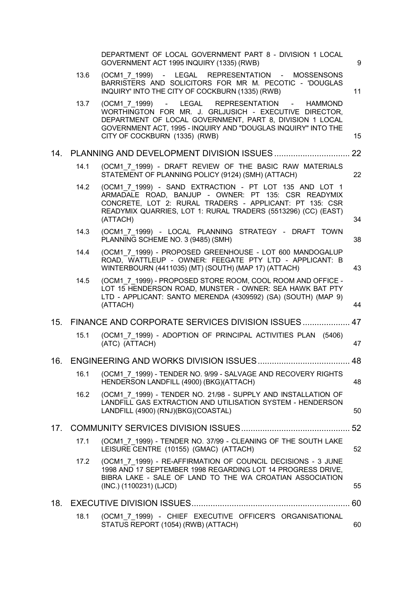|     |      | DEPARTMENT OF LOCAL GOVERNMENT PART 8 - DIVISION 1 LOCAL<br>GOVERNMENT ACT 1995 INQUIRY (1335) (RWB)                                                                                                                                                                   | 9  |
|-----|------|------------------------------------------------------------------------------------------------------------------------------------------------------------------------------------------------------------------------------------------------------------------------|----|
|     | 13.6 | (OCM1 7 1999) - LEGAL REPRESENTATION - MOSSENSONS<br>BARRISTERS AND SOLICITORS FOR MR M. PECOTIC - 'DOUGLAS<br>INQUIRY' INTO THE CITY OF COCKBURN (1335) (RWB)                                                                                                         | 11 |
|     | 13.7 | (OCM1 7 1999) - LEGAL REPRESENTATION - HAMMOND<br>WORTHINGTON FOR MR. J. GRLJUSICH - EXECUTIVE DIRECTOR,<br>DEPARTMENT OF LOCAL GOVERNMENT, PART 8, DIVISION 1 LOCAL<br>GOVERNMENT ACT, 1995 - INQUIRY AND "DOUGLAS INQUIRY" INTO THE<br>CITY OF COCKBURN (1335) (RWB) | 15 |
|     |      |                                                                                                                                                                                                                                                                        | 22 |
|     | 14.1 | (OCM1 7 1999) - DRAFT REVIEW OF THE BASIC RAW MATERIALS<br>STATEMENT OF PLANNING POLICY (9124) (SMH) (ATTACH)                                                                                                                                                          | 22 |
|     | 14.2 | (OCM1 7 1999) - SAND EXTRACTION - PT LOT 135 AND LOT 1<br>ARMADALE ROAD, BANJUP - OWNER: PT 135: CSR READYMIX<br>CONCRETE, LOT 2: RURAL TRADERS - APPLICANT: PT 135: CSR<br>READYMIX QUARRIES, LOT 1: RURAL TRADERS (5513296) (CC) (EAST)<br>(ATTACH)                  | 34 |
|     | 14.3 | (OCM1 7 1999) - LOCAL PLANNING STRATEGY - DRAFT TOWN<br>PLANNING SCHEME NO. 3 (9485) (SMH)                                                                                                                                                                             | 38 |
|     | 14.4 | (OCM1 7 1999) - PROPOSED GREENHOUSE - LOT 600 MANDOGALUP<br>ROAD, WATTLEUP - OWNER: FEEGATE PTY LTD - APPLICANT: B<br>WINTERBOURN (4411035) (MT) (SOUTH) (MAP 17) (ATTACH)                                                                                             | 43 |
|     | 14.5 | (OCM1 7 1999) - PROPOSED STORE ROOM, COOL ROOM AND OFFICE -<br>LOT 15 HENDERSON ROAD, MUNSTER - OWNER: SEA HAWK BAT PTY<br>LTD - APPLICANT: SANTO MERENDA (4309592) (SA) (SOUTH) (MAP 9)<br>(ATTACH)                                                                   | 44 |
| 15. |      | FINANCE AND CORPORATE SERVICES DIVISION ISSUES 47                                                                                                                                                                                                                      |    |
|     | 15.1 | (OCM1 7 1999) - ADOPTION OF PRINCIPAL ACTIVITIES PLAN (5406)<br>(ATC) (ATTACH)                                                                                                                                                                                         | 47 |
| 16. |      |                                                                                                                                                                                                                                                                        | 48 |
|     | 16.1 | (OCM1 7 1999) - TENDER NO. 9/99 - SALVAGE AND RECOVERY RIGHTS<br>HENDERSON LANDFILL (4900) (BKG)(ATTACH)                                                                                                                                                               | 48 |
|     | 16.2 | (OCM1 7 1999) - TENDER NO. 21/98 - SUPPLY AND INSTALLATION OF<br>LANDFILL GAS EXTRACTION AND UTILISATION SYSTEM - HENDERSON<br>LANDFILL (4900) (RNJ)(BKG)(COASTAL)                                                                                                     | 50 |
| 17. |      |                                                                                                                                                                                                                                                                        | 52 |
|     | 17.1 | (OCM1 7 1999) - TENDER NO. 37/99 - CLEANING OF THE SOUTH LAKE<br>LEISURE CENTRE (10155) (GMAC) (ATTACH)                                                                                                                                                                | 52 |
|     | 17.2 | (OCM1 7 1999) - RE-AFFIRMATION OF COUNCIL DECISIONS - 3 JUNE<br>1998 AND 17 SEPTEMBER 1998 REGARDING LOT 14 PROGRESS DRIVE,<br>BIBRA LAKE - SALE OF LAND TO THE WA CROATIAN ASSOCIATION<br>(INC.) (1100231) (LJCD)                                                     | 55 |
| 18. |      |                                                                                                                                                                                                                                                                        | 60 |
|     | 18.1 | (OCM1_7_1999) - CHIEF EXECUTIVE OFFICER'S ORGANISATIONAL<br>STATUS REPORT (1054) (RWB) (ATTACH)                                                                                                                                                                        | 60 |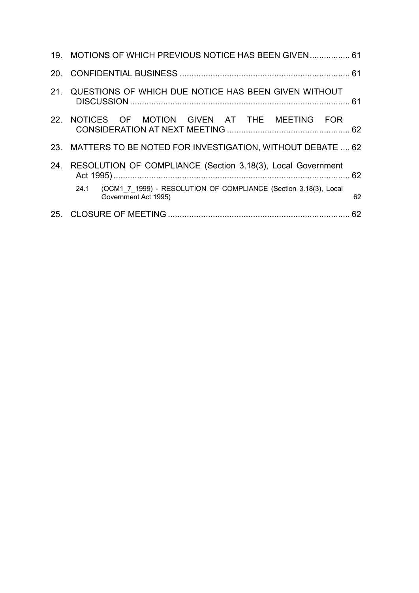|     | 19. MOTIONS OF WHICH PREVIOUS NOTICE HAS BEEN GIVEN  61                                          |    |
|-----|--------------------------------------------------------------------------------------------------|----|
|     |                                                                                                  |    |
|     | 21. QUESTIONS OF WHICH DUE NOTICE HAS BEEN GIVEN WITHOUT                                         |    |
|     | 22. NOTICES OF MOTION GIVEN AT THE MEETING FOR                                                   |    |
|     | 23. MATTERS TO BE NOTED FOR INVESTIGATION, WITHOUT DEBATE , 62                                   |    |
| 24. | RESOLUTION OF COMPLIANCE (Section 3.18(3), Local Government                                      |    |
|     | (OCM1 7 1999) - RESOLUTION OF COMPLIANCE (Section 3.18(3), Local<br>24.1<br>Government Act 1995) | 62 |
|     |                                                                                                  |    |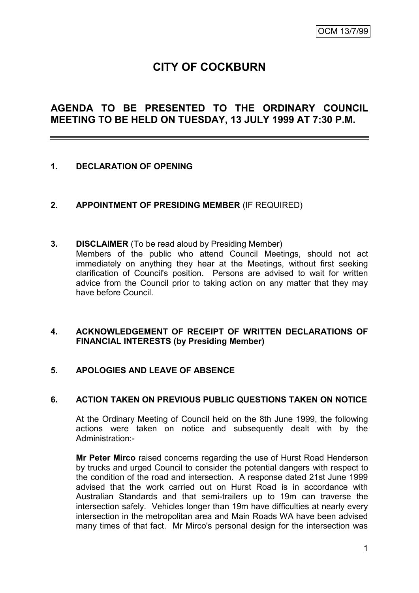# **CITY OF COCKBURN**

# **AGENDA TO BE PRESENTED TO THE ORDINARY COUNCIL MEETING TO BE HELD ON TUESDAY, 13 JULY 1999 AT 7:30 P.M.**

# **1. DECLARATION OF OPENING**

- **2. APPOINTMENT OF PRESIDING MEMBER** (IF REQUIRED)
- **3. DISCLAIMER** (To be read aloud by Presiding Member) Members of the public who attend Council Meetings, should not act immediately on anything they hear at the Meetings, without first seeking clarification of Council's position. Persons are advised to wait for written advice from the Council prior to taking action on any matter that they may have before Council.

# **4. ACKNOWLEDGEMENT OF RECEIPT OF WRITTEN DECLARATIONS OF FINANCIAL INTERESTS (by Presiding Member)**

# **5. APOLOGIES AND LEAVE OF ABSENCE**

# **6. ACTION TAKEN ON PREVIOUS PUBLIC QUESTIONS TAKEN ON NOTICE**

At the Ordinary Meeting of Council held on the 8th June 1999, the following actions were taken on notice and subsequently dealt with by the Administration:-

**Mr Peter Mirco** raised concerns regarding the use of Hurst Road Henderson by trucks and urged Council to consider the potential dangers with respect to the condition of the road and intersection. A response dated 21st June 1999 advised that the work carried out on Hurst Road is in accordance with Australian Standards and that semi-trailers up to 19m can traverse the intersection safely. Vehicles longer than 19m have difficulties at nearly every intersection in the metropolitan area and Main Roads WA have been advised many times of that fact. Mr Mirco's personal design for the intersection was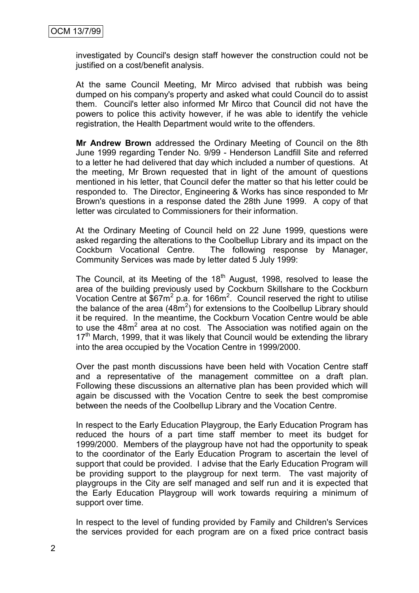investigated by Council's design staff however the construction could not be justified on a cost/benefit analysis.

At the same Council Meeting, Mr Mirco advised that rubbish was being dumped on his company's property and asked what could Council do to assist them. Council's letter also informed Mr Mirco that Council did not have the powers to police this activity however, if he was able to identify the vehicle registration, the Health Department would write to the offenders.

**Mr Andrew Brown** addressed the Ordinary Meeting of Council on the 8th June 1999 regarding Tender No. 9/99 - Henderson Landfill Site and referred to a letter he had delivered that day which included a number of questions. At the meeting, Mr Brown requested that in light of the amount of questions mentioned in his letter, that Council defer the matter so that his letter could be responded to. The Director, Engineering & Works has since responded to Mr Brown's questions in a response dated the 28th June 1999. A copy of that letter was circulated to Commissioners for their information.

At the Ordinary Meeting of Council held on 22 June 1999, questions were asked regarding the alterations to the Coolbellup Library and its impact on the Cockburn Vocational Centre. The following response by Manager, Community Services was made by letter dated 5 July 1999:

The Council, at its Meeting of the  $18<sup>th</sup>$  August, 1998, resolved to lease the area of the building previously used by Cockburn Skillshare to the Cockburn Vocation Centre at  $$67m^2$  p.a. for 166 $m^2$ . Council reserved the right to utilise the balance of the area  $(48m^2)$  for extensions to the Coolbellup Library should it be required. In the meantime, the Cockburn Vocation Centre would be able to use the  $48m^2$  area at no cost. The Association was notified again on the  $17<sup>th</sup>$  March, 1999, that it was likely that Council would be extending the library into the area occupied by the Vocation Centre in 1999/2000.

Over the past month discussions have been held with Vocation Centre staff and a representative of the management committee on a draft plan. Following these discussions an alternative plan has been provided which will again be discussed with the Vocation Centre to seek the best compromise between the needs of the Coolbellup Library and the Vocation Centre.

In respect to the Early Education Playgroup, the Early Education Program has reduced the hours of a part time staff member to meet its budget for 1999/2000. Members of the playgroup have not had the opportunity to speak to the coordinator of the Early Education Program to ascertain the level of support that could be provided. I advise that the Early Education Program will be providing support to the playgroup for next term. The vast majority of playgroups in the City are self managed and self run and it is expected that the Early Education Playgroup will work towards requiring a minimum of support over time.

In respect to the level of funding provided by Family and Children's Services the services provided for each program are on a fixed price contract basis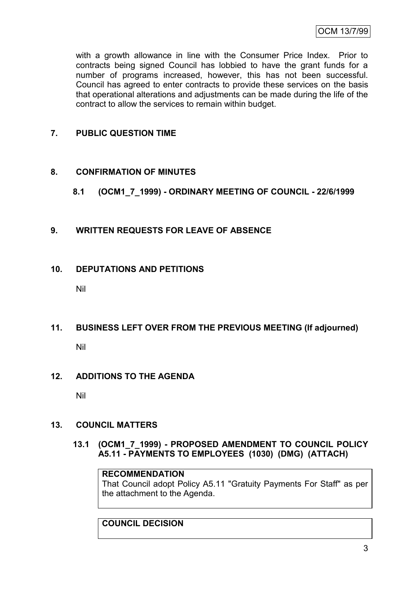with a growth allowance in line with the Consumer Price Index. Prior to contracts being signed Council has lobbied to have the grant funds for a number of programs increased, however, this has not been successful. Council has agreed to enter contracts to provide these services on the basis that operational alterations and adjustments can be made during the life of the contract to allow the services to remain within budget.

# **7. PUBLIC QUESTION TIME**

# **8. CONFIRMATION OF MINUTES**

- **8.1 (OCM1\_7\_1999) - ORDINARY MEETING OF COUNCIL - 22/6/1999**
- **9. WRITTEN REQUESTS FOR LEAVE OF ABSENCE**

# **10. DEPUTATIONS AND PETITIONS**

Nil

# **11. BUSINESS LEFT OVER FROM THE PREVIOUS MEETING (If adjourned)**

Nil

# **12. ADDITIONS TO THE AGENDA**

Nil

# **13. COUNCIL MATTERS**

**13.1 (OCM1\_7\_1999) - PROPOSED AMENDMENT TO COUNCIL POLICY A5.11 - PAYMENTS TO EMPLOYEES (1030) (DMG) (ATTACH)**

# **RECOMMENDATION**

That Council adopt Policy A5.11 "Gratuity Payments For Staff" as per the attachment to the Agenda.

# **COUNCIL DECISION**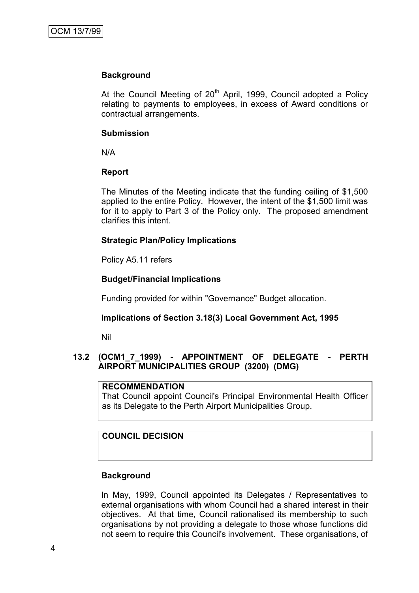# **Background**

At the Council Meeting of  $20<sup>th</sup>$  April, 1999, Council adopted a Policy relating to payments to employees, in excess of Award conditions or contractual arrangements.

#### **Submission**

N/A

# **Report**

The Minutes of the Meeting indicate that the funding ceiling of \$1,500 applied to the entire Policy. However, the intent of the \$1,500 limit was for it to apply to Part 3 of the Policy only. The proposed amendment clarifies this intent.

# **Strategic Plan/Policy Implications**

Policy A5.11 refers

# **Budget/Financial Implications**

Funding provided for within "Governance" Budget allocation.

# **Implications of Section 3.18(3) Local Government Act, 1995**

Nil

# **13.2 (OCM1\_7\_1999) - APPOINTMENT OF DELEGATE - PERTH AIRPORT MUNICIPALITIES GROUP (3200) (DMG)**

### **RECOMMENDATION**

That Council appoint Council's Principal Environmental Health Officer as its Delegate to the Perth Airport Municipalities Group.

# **COUNCIL DECISION**

#### **Background**

In May, 1999, Council appointed its Delegates / Representatives to external organisations with whom Council had a shared interest in their objectives. At that time, Council rationalised its membership to such organisations by not providing a delegate to those whose functions did not seem to require this Council's involvement. These organisations, of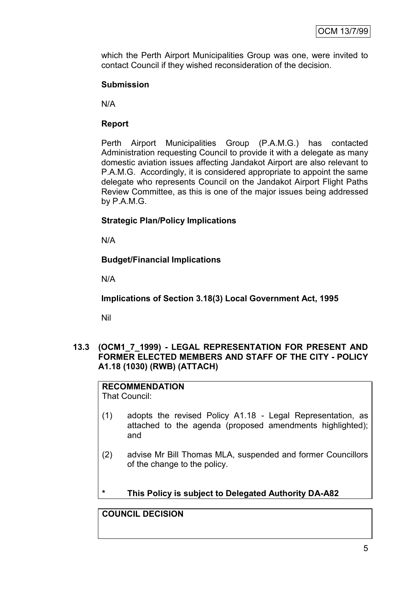which the Perth Airport Municipalities Group was one, were invited to contact Council if they wished reconsideration of the decision.

# **Submission**

N/A

# **Report**

Perth Airport Municipalities Group (P.A.M.G.) has contacted Administration requesting Council to provide it with a delegate as many domestic aviation issues affecting Jandakot Airport are also relevant to P.A.M.G. Accordingly, it is considered appropriate to appoint the same delegate who represents Council on the Jandakot Airport Flight Paths Review Committee, as this is one of the major issues being addressed by P.A.M.G.

# **Strategic Plan/Policy Implications**

N/A

# **Budget/Financial Implications**

N/A

**Implications of Section 3.18(3) Local Government Act, 1995**

Nil

# **13.3 (OCM1\_7\_1999) - LEGAL REPRESENTATION FOR PRESENT AND FORMER ELECTED MEMBERS AND STAFF OF THE CITY - POLICY A1.18 (1030) (RWB) (ATTACH)**

**RECOMMENDATION** That Council:

- (1) adopts the revised Policy A1.18 Legal Representation, as attached to the agenda (proposed amendments highlighted); and
- (2) advise Mr Bill Thomas MLA, suspended and former Councillors of the change to the policy.
- **\* This Policy is subject to Delegated Authority DA-A82**

# **COUNCIL DECISION**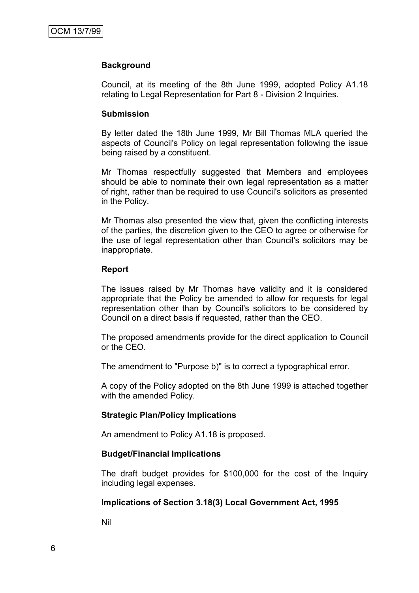# **Background**

Council, at its meeting of the 8th June 1999, adopted Policy A1.18 relating to Legal Representation for Part 8 - Division 2 Inquiries.

#### **Submission**

By letter dated the 18th June 1999, Mr Bill Thomas MLA queried the aspects of Council's Policy on legal representation following the issue being raised by a constituent.

Mr Thomas respectfully suggested that Members and employees should be able to nominate their own legal representation as a matter of right, rather than be required to use Council's solicitors as presented in the Policy.

Mr Thomas also presented the view that, given the conflicting interests of the parties, the discretion given to the CEO to agree or otherwise for the use of legal representation other than Council's solicitors may be inappropriate.

#### **Report**

The issues raised by Mr Thomas have validity and it is considered appropriate that the Policy be amended to allow for requests for legal representation other than by Council's solicitors to be considered by Council on a direct basis if requested, rather than the CEO.

The proposed amendments provide for the direct application to Council or the CEO.

The amendment to "Purpose b)" is to correct a typographical error.

A copy of the Policy adopted on the 8th June 1999 is attached together with the amended Policy.

# **Strategic Plan/Policy Implications**

An amendment to Policy A1.18 is proposed.

# **Budget/Financial Implications**

The draft budget provides for \$100,000 for the cost of the Inquiry including legal expenses.

# **Implications of Section 3.18(3) Local Government Act, 1995**

Nil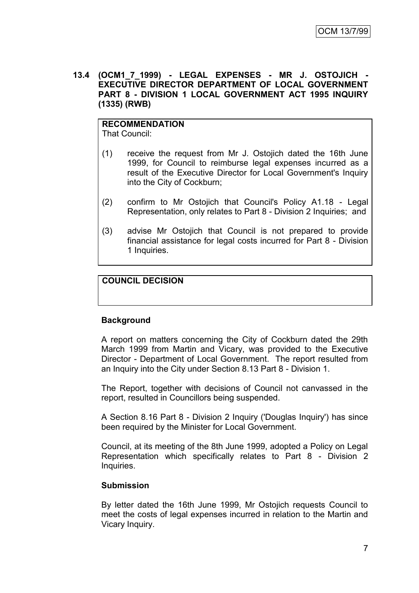**13.4 (OCM1\_7\_1999) - LEGAL EXPENSES - MR J. OSTOJICH - EXECUTIVE DIRECTOR DEPARTMENT OF LOCAL GOVERNMENT PART 8 - DIVISION 1 LOCAL GOVERNMENT ACT 1995 INQUIRY (1335) (RWB)**

#### **RECOMMENDATION** That Council:

- (1) receive the request from Mr J. Ostojich dated the 16th June 1999, for Council to reimburse legal expenses incurred as a result of the Executive Director for Local Government's Inquiry into the City of Cockburn;
- (2) confirm to Mr Ostojich that Council's Policy A1.18 Legal Representation, only relates to Part 8 - Division 2 Inquiries; and
- (3) advise Mr Ostojich that Council is not prepared to provide financial assistance for legal costs incurred for Part 8 - Division 1 Inquiries.

# **COUNCIL DECISION**

# **Background**

A report on matters concerning the City of Cockburn dated the 29th March 1999 from Martin and Vicary, was provided to the Executive Director - Department of Local Government. The report resulted from an Inquiry into the City under Section 8.13 Part 8 - Division 1.

The Report, together with decisions of Council not canvassed in the report, resulted in Councillors being suspended.

A Section 8.16 Part 8 - Division 2 Inquiry ('Douglas Inquiry') has since been required by the Minister for Local Government.

Council, at its meeting of the 8th June 1999, adopted a Policy on Legal Representation which specifically relates to Part 8 - Division 2 Inquiries.

# **Submission**

By letter dated the 16th June 1999, Mr Ostojich requests Council to meet the costs of legal expenses incurred in relation to the Martin and Vicary Inquiry.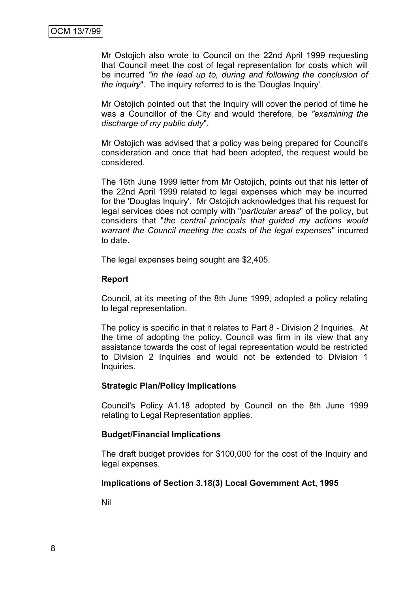Mr Ostojich also wrote to Council on the 22nd April 1999 requesting that Council meet the cost of legal representation for costs which will be incurred *"in the lead up to, during and following the conclusion of the inquiry*". The inquiry referred to is the 'Douglas Inquiry'.

Mr Ostojich pointed out that the Inquiry will cover the period of time he was a Councillor of the City and would therefore, be *"examining the discharge of my public duty*".

Mr Ostojich was advised that a policy was being prepared for Council's consideration and once that had been adopted, the request would be considered.

The 16th June 1999 letter from Mr Ostojich, points out that his letter of the 22nd April 1999 related to legal expenses which may be incurred for the 'Douglas Inquiry'. Mr Ostojich acknowledges that his request for legal services does not comply with "*particular areas*" of the policy, but considers that "*the central principals that guided my actions would warrant the Council meeting the costs of the legal expenses*" incurred to date.

The legal expenses being sought are \$2,405.

#### **Report**

Council, at its meeting of the 8th June 1999, adopted a policy relating to legal representation.

The policy is specific in that it relates to Part 8 - Division 2 Inquiries. At the time of adopting the policy, Council was firm in its view that any assistance towards the cost of legal representation would be restricted to Division 2 Inquiries and would not be extended to Division 1 Inquiries.

#### **Strategic Plan/Policy Implications**

Council's Policy A1.18 adopted by Council on the 8th June 1999 relating to Legal Representation applies.

#### **Budget/Financial Implications**

The draft budget provides for \$100,000 for the cost of the Inquiry and legal expenses.

#### **Implications of Section 3.18(3) Local Government Act, 1995**

Nil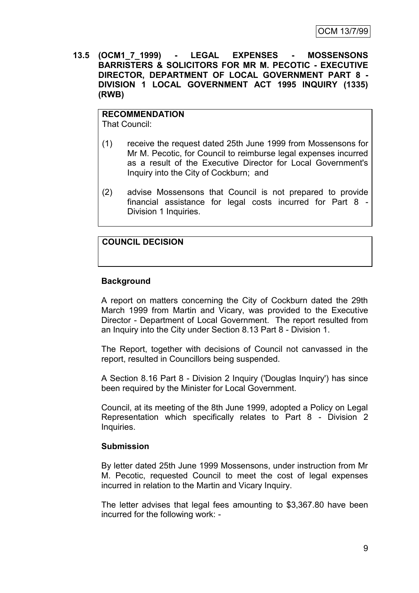**13.5 (OCM1\_7\_1999) - LEGAL EXPENSES - MOSSENSONS BARRISTERS & SOLICITORS FOR MR M. PECOTIC - EXECUTIVE DIRECTOR, DEPARTMENT OF LOCAL GOVERNMENT PART 8 - DIVISION 1 LOCAL GOVERNMENT ACT 1995 INQUIRY (1335) (RWB)**

# **RECOMMENDATION**

That Council:

- (1) receive the request dated 25th June 1999 from Mossensons for Mr M. Pecotic, for Council to reimburse legal expenses incurred as a result of the Executive Director for Local Government's Inquiry into the City of Cockburn; and
- (2) advise Mossensons that Council is not prepared to provide financial assistance for legal costs incurred for Part 8 - Division 1 Inquiries.

# **COUNCIL DECISION**

# **Background**

A report on matters concerning the City of Cockburn dated the 29th March 1999 from Martin and Vicary, was provided to the Executive Director - Department of Local Government. The report resulted from an Inquiry into the City under Section 8.13 Part 8 - Division 1.

The Report, together with decisions of Council not canvassed in the report, resulted in Councillors being suspended.

A Section 8.16 Part 8 - Division 2 Inquiry ('Douglas Inquiry') has since been required by the Minister for Local Government.

Council, at its meeting of the 8th June 1999, adopted a Policy on Legal Representation which specifically relates to Part 8 - Division 2 Inquiries.

# **Submission**

By letter dated 25th June 1999 Mossensons, under instruction from Mr M. Pecotic, requested Council to meet the cost of legal expenses incurred in relation to the Martin and Vicary Inquiry.

The letter advises that legal fees amounting to \$3,367.80 have been incurred for the following work: -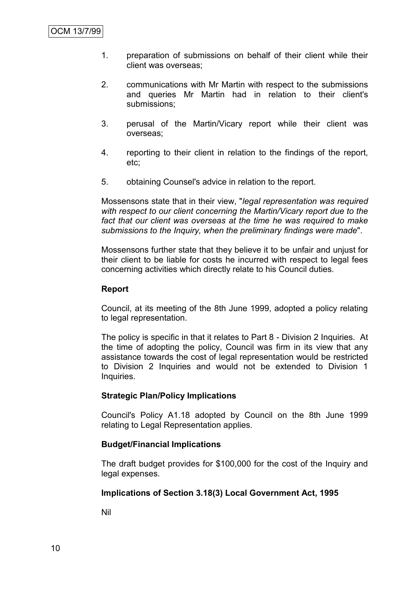- 1. preparation of submissions on behalf of their client while their client was overseas;
- 2. communications with Mr Martin with respect to the submissions and queries Mr Martin had in relation to their client's submissions;
- 3. perusal of the Martin/Vicary report while their client was overseas;
- 4. reporting to their client in relation to the findings of the report, etc;
- 5. obtaining Counsel's advice in relation to the report.

Mossensons state that in their view, "*legal representation was required with respect to our client concerning the Martin/Vicary report due to the fact that our client was overseas at the time he was required to make submissions to the Inquiry, when the preliminary findings were made*".

Mossensons further state that they believe it to be unfair and unjust for their client to be liable for costs he incurred with respect to legal fees concerning activities which directly relate to his Council duties.

#### **Report**

Council, at its meeting of the 8th June 1999, adopted a policy relating to legal representation.

The policy is specific in that it relates to Part 8 - Division 2 Inquiries. At the time of adopting the policy, Council was firm in its view that any assistance towards the cost of legal representation would be restricted to Division 2 Inquiries and would not be extended to Division 1 Inquiries.

# **Strategic Plan/Policy Implications**

Council's Policy A1.18 adopted by Council on the 8th June 1999 relating to Legal Representation applies.

# **Budget/Financial Implications**

The draft budget provides for \$100,000 for the cost of the Inquiry and legal expenses.

# **Implications of Section 3.18(3) Local Government Act, 1995**

Nil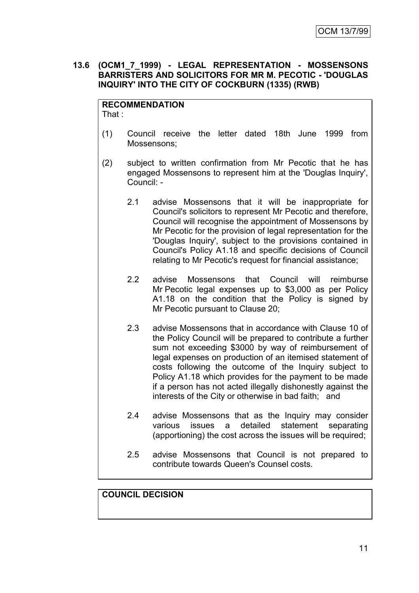# **13.6 (OCM1\_7\_1999) - LEGAL REPRESENTATION - MOSSENSONS BARRISTERS AND SOLICITORS FOR MR M. PECOTIC - 'DOUGLAS INQUIRY' INTO THE CITY OF COCKBURN (1335) (RWB)**

#### **RECOMMENDATION** That :

- 
- (1) Council receive the letter dated 18th June 1999 from Mossensons;
- (2) subject to written confirmation from Mr Pecotic that he has engaged Mossensons to represent him at the 'Douglas Inquiry', Council: -
	- 2.1 advise Mossensons that it will be inappropriate for Council's solicitors to represent Mr Pecotic and therefore, Council will recognise the appointment of Mossensons by Mr Pecotic for the provision of legal representation for the 'Douglas Inquiry', subject to the provisions contained in Council's Policy A1.18 and specific decisions of Council relating to Mr Pecotic's request for financial assistance;
	- 2.2 advise Mossensons that Council will reimburse Mr Pecotic legal expenses up to \$3,000 as per Policy A1.18 on the condition that the Policy is signed by Mr Pecotic pursuant to Clause 20;
	- 2.3 advise Mossensons that in accordance with Clause 10 of the Policy Council will be prepared to contribute a further sum not exceeding \$3000 by way of reimbursement of legal expenses on production of an itemised statement of costs following the outcome of the Inquiry subject to Policy A1.18 which provides for the payment to be made if a person has not acted illegally dishonestly against the interests of the City or otherwise in bad faith; and
	- 2.4 advise Mossensons that as the Inquiry may consider various issues a detailed statement separating (apportioning) the cost across the issues will be required;
	- 2.5 advise Mossensons that Council is not prepared to contribute towards Queen's Counsel costs.

# **COUNCIL DECISION**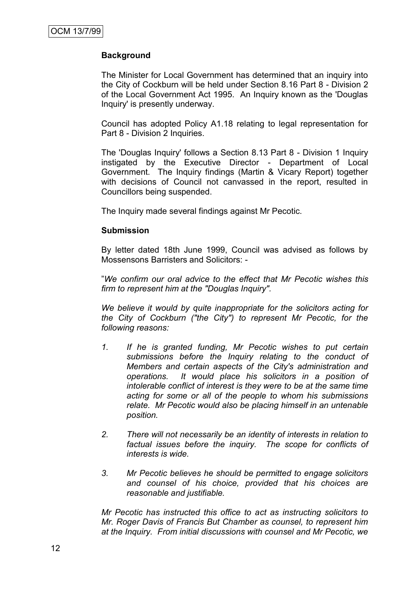# **Background**

The Minister for Local Government has determined that an inquiry into the City of Cockburn will be held under Section 8.16 Part 8 - Division 2 of the Local Government Act 1995. An Inquiry known as the 'Douglas Inquiry' is presently underway.

Council has adopted Policy A1.18 relating to legal representation for Part 8 - Division 2 Inquiries.

The 'Douglas Inquiry' follows a Section 8.13 Part 8 - Division 1 Inquiry instigated by the Executive Director - Department of Local Government. The Inquiry findings (Martin & Vicary Report) together with decisions of Council not canvassed in the report, resulted in Councillors being suspended.

The Inquiry made several findings against Mr Pecotic.

# **Submission**

By letter dated 18th June 1999, Council was advised as follows by Mossensons Barristers and Solicitors: -

"*We confirm our oral advice to the effect that Mr Pecotic wishes this firm to represent him at the "Douglas Inquiry".*

*We believe it would by quite inappropriate for the solicitors acting for the City of Cockburn ("the City") to represent Mr Pecotic, for the following reasons:*

- *1. If he is granted funding, Mr Pecotic wishes to put certain submissions before the Inquiry relating to the conduct of Members and certain aspects of the City's administration and operations. It would place his solicitors in a position of intolerable conflict of interest is they were to be at the same time acting for some or all of the people to whom his submissions relate. Mr Pecotic would also be placing himself in an untenable position.*
- *2. There will not necessarily be an identity of interests in relation to factual issues before the inquiry. The scope for conflicts of interests is wide.*
- *3. Mr Pecotic believes he should be permitted to engage solicitors and counsel of his choice, provided that his choices are reasonable and justifiable.*

*Mr Pecotic has instructed this office to act as instructing solicitors to Mr. Roger Davis of Francis But Chamber as counsel, to represent him at the Inquiry. From initial discussions with counsel and Mr Pecotic, we*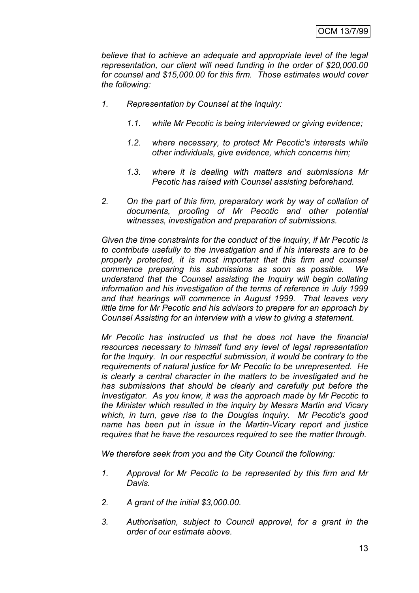*believe that to achieve an adequate and appropriate level of the legal representation, our client will need funding in the order of \$20,000.00 for counsel and \$15,000.00 for this firm. Those estimates would cover the following:*

- *1. Representation by Counsel at the Inquiry:*
	- *1.1. while Mr Pecotic is being interviewed or giving evidence;*
	- *1.2. where necessary, to protect Mr Pecotic's interests while other individuals, give evidence, which concerns him;*
	- *1.3. where it is dealing with matters and submissions Mr Pecotic has raised with Counsel assisting beforehand.*
- *2. On the part of this firm, preparatory work by way of collation of documents, proofing of Mr Pecotic and other potential witnesses, investigation and preparation of submissions.*

*Given the time constraints for the conduct of the Inquiry, if Mr Pecotic is to contribute usefully to the investigation and if his interests are to be properly protected, it is most important that this firm and counsel commence preparing his submissions as soon as possible. We understand that the Counsel assisting the Inquiry will begin collating information and his investigation of the terms of reference in July 1999 and that hearings will commence in August 1999. That leaves very little time for Mr Pecotic and his advisors to prepare for an approach by Counsel Assisting for an interview with a view to giving a statement.*

*Mr Pecotic has instructed us that he does not have the financial resources necessary to himself fund any level of legal representation for the Inquiry. In our respectful submission, it would be contrary to the requirements of natural justice for Mr Pecotic to be unrepresented. He is clearly a central character in the matters to be investigated and he has submissions that should be clearly and carefully put before the Investigator. As you know, it was the approach made by Mr Pecotic to the Minister which resulted in the inquiry by Messrs Martin and Vicary which, in turn, gave rise to the Douglas Inquiry. Mr Pecotic's good name has been put in issue in the Martin-Vicary report and justice requires that he have the resources required to see the matter through.*

*We therefore seek from you and the City Council the following:*

- *1. Approval for Mr Pecotic to be represented by this firm and Mr Davis.*
- *2. A grant of the initial \$3,000.00.*
- *3. Authorisation, subject to Council approval, for a grant in the order of our estimate above.*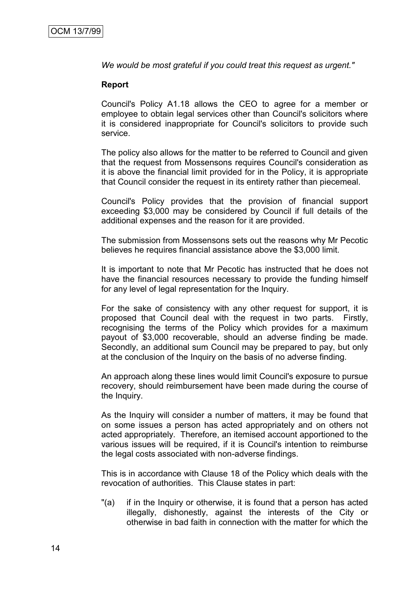*We would be most grateful if you could treat this request as urgent."*

#### **Report**

Council's Policy A1.18 allows the CEO to agree for a member or employee to obtain legal services other than Council's solicitors where it is considered inappropriate for Council's solicitors to provide such service.

The policy also allows for the matter to be referred to Council and given that the request from Mossensons requires Council's consideration as it is above the financial limit provided for in the Policy, it is appropriate that Council consider the request in its entirety rather than piecemeal.

Council's Policy provides that the provision of financial support exceeding \$3,000 may be considered by Council if full details of the additional expenses and the reason for it are provided.

The submission from Mossensons sets out the reasons why Mr Pecotic believes he requires financial assistance above the \$3,000 limit.

It is important to note that Mr Pecotic has instructed that he does not have the financial resources necessary to provide the funding himself for any level of legal representation for the Inquiry.

For the sake of consistency with any other request for support, it is proposed that Council deal with the request in two parts. Firstly, recognising the terms of the Policy which provides for a maximum payout of \$3,000 recoverable, should an adverse finding be made. Secondly, an additional sum Council may be prepared to pay, but only at the conclusion of the Inquiry on the basis of no adverse finding.

An approach along these lines would limit Council's exposure to pursue recovery, should reimbursement have been made during the course of the Inquiry.

As the Inquiry will consider a number of matters, it may be found that on some issues a person has acted appropriately and on others not acted appropriately. Therefore, an itemised account apportioned to the various issues will be required, if it is Council's intention to reimburse the legal costs associated with non-adverse findings.

This is in accordance with Clause 18 of the Policy which deals with the revocation of authorities. This Clause states in part:

"(a) if in the Inquiry or otherwise, it is found that a person has acted illegally, dishonestly, against the interests of the City or otherwise in bad faith in connection with the matter for which the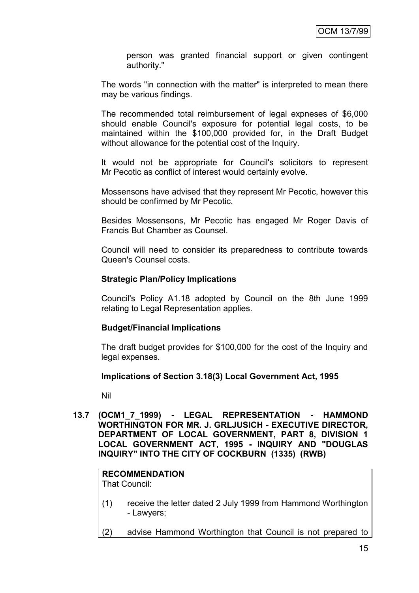person was granted financial support or given contingent authority."

The words "in connection with the matter" is interpreted to mean there may be various findings.

The recommended total reimbursement of legal expneses of \$6,000 should enable Council's exposure for potential legal costs, to be maintained within the \$100,000 provided for, in the Draft Budget without allowance for the potential cost of the Inquiry.

It would not be appropriate for Council's solicitors to represent Mr Pecotic as conflict of interest would certainly evolve.

Mossensons have advised that they represent Mr Pecotic, however this should be confirmed by Mr Pecotic.

Besides Mossensons, Mr Pecotic has engaged Mr Roger Davis of Francis But Chamber as Counsel.

Council will need to consider its preparedness to contribute towards Queen's Counsel costs.

#### **Strategic Plan/Policy Implications**

Council's Policy A1.18 adopted by Council on the 8th June 1999 relating to Legal Representation applies.

#### **Budget/Financial Implications**

The draft budget provides for \$100,000 for the cost of the Inquiry and legal expenses.

# **Implications of Section 3.18(3) Local Government Act, 1995**

Nil

**13.7 (OCM1\_7\_1999) - LEGAL REPRESENTATION - HAMMOND WORTHINGTON FOR MR. J. GRLJUSICH - EXECUTIVE DIRECTOR, DEPARTMENT OF LOCAL GOVERNMENT, PART 8, DIVISION 1 LOCAL GOVERNMENT ACT, 1995 - INQUIRY AND "DOUGLAS INQUIRY" INTO THE CITY OF COCKBURN (1335) (RWB)**

# **RECOMMENDATION**

That Council:

- (1) receive the letter dated 2 July 1999 from Hammond Worthington - Lawyers;
- (2) advise Hammond Worthington that Council is not prepared to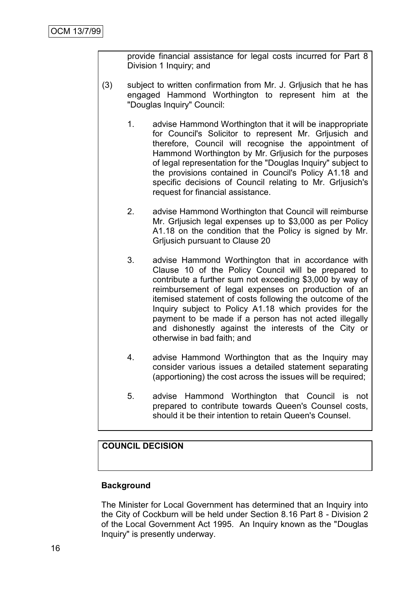provide financial assistance for legal costs incurred for Part 8 Division 1 Inquiry; and

- (3) subject to written confirmation from Mr. J. Grljusich that he has engaged Hammond Worthington to represent him at the "Douglas Inquiry" Council:
	- 1. advise Hammond Worthington that it will be inappropriate for Council's Solicitor to represent Mr. Grljusich and therefore, Council will recognise the appointment of Hammond Worthington by Mr. Grljusich for the purposes of legal representation for the "Douglas Inquiry" subject to the provisions contained in Council's Policy A1.18 and specific decisions of Council relating to Mr. Grljusich's request for financial assistance.
	- 2. advise Hammond Worthington that Council will reimburse Mr. Grljusich legal expenses up to \$3,000 as per Policy A1.18 on the condition that the Policy is signed by Mr. Grljusich pursuant to Clause 20
	- 3. advise Hammond Worthington that in accordance with Clause 10 of the Policy Council will be prepared to contribute a further sum not exceeding \$3,000 by way of reimbursement of legal expenses on production of an itemised statement of costs following the outcome of the Inquiry subject to Policy A1.18 which provides for the payment to be made if a person has not acted illegally and dishonestly against the interests of the City or otherwise in bad faith; and
	- 4. advise Hammond Worthington that as the Inquiry may consider various issues a detailed statement separating (apportioning) the cost across the issues will be required;
	- 5. advise Hammond Worthington that Council is not prepared to contribute towards Queen's Counsel costs, should it be their intention to retain Queen's Counsel.

# **COUNCIL DECISION**

# **Background**

The Minister for Local Government has determined that an Inquiry into the City of Cockburn will be held under Section 8.16 Part 8 - Division 2 of the Local Government Act 1995. An Inquiry known as the "Douglas Inquiry" is presently underway.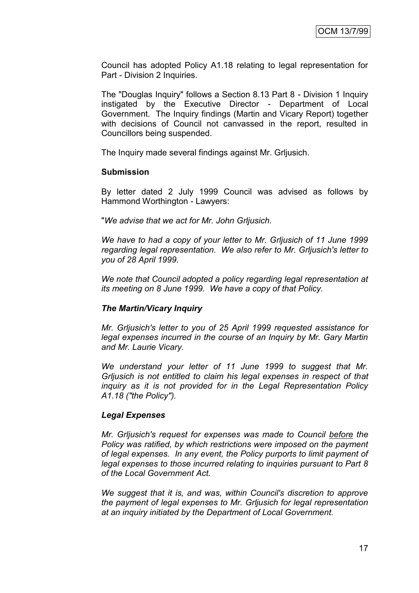Council has adopted Policy A1.18 relating to legal representation for Part - Division 2 Inquiries.

The "Douglas Inquiry" follows a Section 8.13 Part 8 - Division 1 Inquiry instigated by the Executive Director - Department of Local Government. The Inquiry findings (Martin and Vicary Report) together with decisions of Council not canvassed in the report, resulted in Councillors being suspended.

The Inquiry made several findings against Mr. Grljusich.

#### **Submission**

By letter dated 2 July 1999 Council was advised as follows by Hammond Worthington - Lawyers:

"*We advise that we act for Mr. John Grljusich.*

*We have to had a copy of your letter to Mr. Grljusich of 11 June 1999 regarding legal representation. We also refer to Mr. Grljusich's letter to you of 28 April 1999.*

*We note that Council adopted a policy regarding legal representation at its meeting on 8 June 1999. We have a copy of that Policy.*

# *The Martin/Vicary Inquiry*

*Mr. Grljusich's letter to you of 25 April 1999 requested assistance for legal expenses incurred in the course of an Inquiry by Mr. Gary Martin and Mr. Laurie Vicary.*

*We understand your letter of 11 June 1999 to suggest that Mr. Grljusich is not entitled to claim his legal expenses in respect of that inquiry as it is not provided for in the Legal Representation Policy A1.18 ("the Policy").*

# *Legal Expenses*

*Mr. Grljusich's request for expenses was made to Council before the Policy was ratified, by which restrictions were imposed on the payment of legal expenses. In any event, the Policy purports to limit payment of legal expenses to those incurred relating to inquiries pursuant to Part 8 of the Local Government Act.*

*We suggest that it is, and was, within Council's discretion to approve the payment of legal expenses to Mr. Grljusich for legal representation at an inquiry initiated by the Department of Local Government.*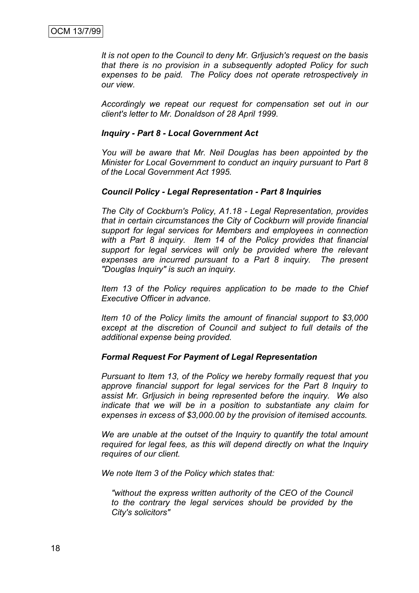*It is not open to the Council to deny Mr. Grljusich's request on the basis that there is no provision in a subsequently adopted Policy for such expenses to be paid. The Policy does not operate retrospectively in our view.*

*Accordingly we repeat our request for compensation set out in our client's letter to Mr. Donaldson of 28 April 1999.*

#### *Inquiry - Part 8 - Local Government Act*

*You will be aware that Mr. Neil Douglas has been appointed by the Minister for Local Government to conduct an inquiry pursuant to Part 8 of the Local Government Act 1995.*

#### *Council Policy - Legal Representation - Part 8 Inquiries*

*The City of Cockburn's Policy, A1.18 - Legal Representation, provides that in certain circumstances the City of Cockburn will provide financial support for legal services for Members and employees in connection with a Part 8 inquiry. Item 14 of the Policy provides that financial support for legal services will only be provided where the relevant expenses are incurred pursuant to a Part 8 inquiry. The present "Douglas Inquiry" is such an inquiry.*

*Item 13 of the Policy requires application to be made to the Chief Executive Officer in advance.*

*Item 10 of the Policy limits the amount of financial support to \$3,000 except at the discretion of Council and subject to full details of the additional expense being provided.*

#### *Formal Request For Payment of Legal Representation*

*Pursuant to Item 13, of the Policy we hereby formally request that you approve financial support for legal services for the Part 8 Inquiry to assist Mr. Grljusich in being represented before the inquiry. We also indicate that we will be in a position to substantiate any claim for expenses in excess of \$3,000.00 by the provision of itemised accounts.*

*We are unable at the outset of the Inquiry to quantify the total amount required for legal fees, as this will depend directly on what the Inquiry requires of our client.*

*We note Item 3 of the Policy which states that:*

*"without the express written authority of the CEO of the Council to the contrary the legal services should be provided by the City's solicitors"*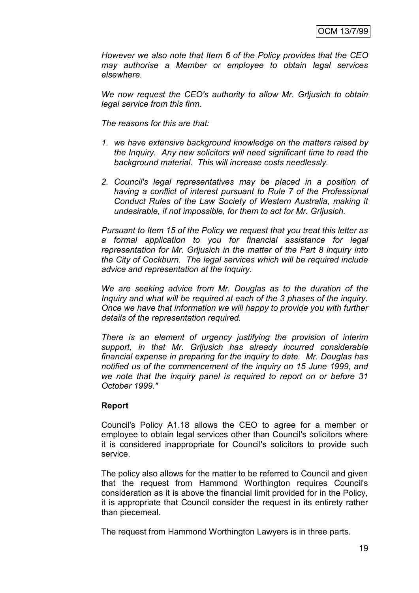*However we also note that Item 6 of the Policy provides that the CEO may authorise a Member or employee to obtain legal services elsewhere.*

*We now request the CEO's authority to allow Mr. Grljusich to obtain legal service from this firm.*

*The reasons for this are that:*

- *1. we have extensive background knowledge on the matters raised by the Inquiry. Any new solicitors will need significant time to read the background material. This will increase costs needlessly.*
- *2. Council's legal representatives may be placed in a position of having a conflict of interest pursuant to Rule 7 of the Professional Conduct Rules of the Law Society of Western Australia, making it undesirable, if not impossible, for them to act for Mr. Grljusich.*

*Pursuant to Item 15 of the Policy we request that you treat this letter as a formal application to you for financial assistance for legal representation for Mr. Grljusich in the matter of the Part 8 inquiry into the City of Cockburn. The legal services which will be required include advice and representation at the Inquiry.*

*We are seeking advice from Mr. Douglas as to the duration of the Inquiry and what will be required at each of the 3 phases of the inquiry. Once we have that information we will happy to provide you with further details of the representation required.*

*There is an element of urgency justifying the provision of interim support, in that Mr. Grljusich has already incurred considerable financial expense in preparing for the inquiry to date. Mr. Douglas has notified us of the commencement of the inquiry on 15 June 1999, and we note that the inquiry panel is required to report on or before 31 October 1999."*

# **Report**

Council's Policy A1.18 allows the CEO to agree for a member or employee to obtain legal services other than Council's solicitors where it is considered inappropriate for Council's solicitors to provide such service.

The policy also allows for the matter to be referred to Council and given that the request from Hammond Worthington requires Council's consideration as it is above the financial limit provided for in the Policy, it is appropriate that Council consider the request in its entirety rather than piecemeal.

The request from Hammond Worthington Lawyers is in three parts.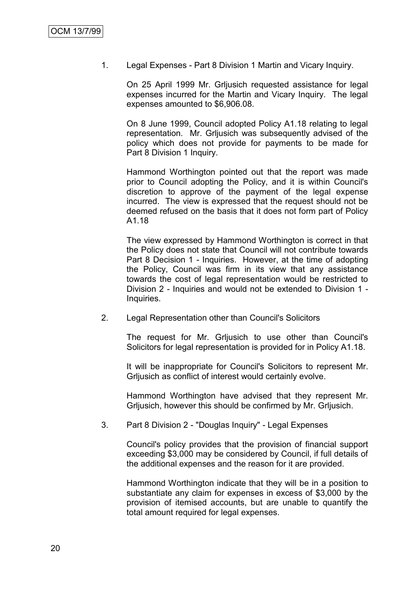1. Legal Expenses - Part 8 Division 1 Martin and Vicary Inquiry.

On 25 April 1999 Mr. Grljusich requested assistance for legal expenses incurred for the Martin and Vicary Inquiry. The legal expenses amounted to \$6,906.08.

On 8 June 1999, Council adopted Policy A1.18 relating to legal representation. Mr. Grljusich was subsequently advised of the policy which does not provide for payments to be made for Part 8 Division 1 Inquiry.

Hammond Worthington pointed out that the report was made prior to Council adopting the Policy, and it is within Council's discretion to approve of the payment of the legal expense incurred. The view is expressed that the request should not be deemed refused on the basis that it does not form part of Policy A1.18

The view expressed by Hammond Worthington is correct in that the Policy does not state that Council will not contribute towards Part 8 Decision 1 - Inquiries. However, at the time of adopting the Policy, Council was firm in its view that any assistance towards the cost of legal representation would be restricted to Division 2 - Inquiries and would not be extended to Division 1 - Inquiries.

2. Legal Representation other than Council's Solicitors

The request for Mr. Grljusich to use other than Council's Solicitors for legal representation is provided for in Policy A1.18.

It will be inappropriate for Council's Solicitors to represent Mr. Grljusich as conflict of interest would certainly evolve.

Hammond Worthington have advised that they represent Mr. Grljusich, however this should be confirmed by Mr. Grljusich.

3. Part 8 Division 2 - "Douglas Inquiry" - Legal Expenses

Council's policy provides that the provision of financial support exceeding \$3,000 may be considered by Council, if full details of the additional expenses and the reason for it are provided.

Hammond Worthington indicate that they will be in a position to substantiate any claim for expenses in excess of \$3,000 by the provision of itemised accounts, but are unable to quantify the total amount required for legal expenses.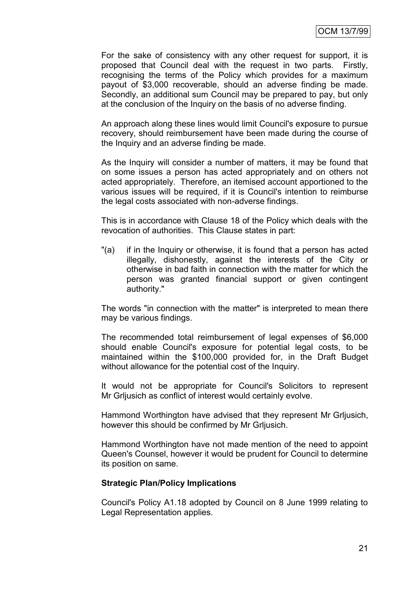For the sake of consistency with any other request for support, it is proposed that Council deal with the request in two parts. Firstly, recognising the terms of the Policy which provides for a maximum payout of \$3,000 recoverable, should an adverse finding be made. Secondly, an additional sum Council may be prepared to pay, but only at the conclusion of the Inquiry on the basis of no adverse finding.

An approach along these lines would limit Council's exposure to pursue recovery, should reimbursement have been made during the course of the Inquiry and an adverse finding be made.

As the Inquiry will consider a number of matters, it may be found that on some issues a person has acted appropriately and on others not acted appropriately. Therefore, an itemised account apportioned to the various issues will be required, if it is Council's intention to reimburse the legal costs associated with non-adverse findings.

This is in accordance with Clause 18 of the Policy which deals with the revocation of authorities. This Clause states in part:

"(a) if in the Inquiry or otherwise, it is found that a person has acted illegally, dishonestly, against the interests of the City or otherwise in bad faith in connection with the matter for which the person was granted financial support or given contingent authority."

The words "in connection with the matter" is interpreted to mean there may be various findings.

The recommended total reimbursement of legal expenses of \$6,000 should enable Council's exposure for potential legal costs, to be maintained within the \$100,000 provided for, in the Draft Budget without allowance for the potential cost of the Inquiry.

It would not be appropriate for Council's Solicitors to represent Mr Grljusich as conflict of interest would certainly evolve.

Hammond Worthington have advised that they represent Mr Grljusich, however this should be confirmed by Mr Grljusich.

Hammond Worthington have not made mention of the need to appoint Queen's Counsel, however it would be prudent for Council to determine its position on same.

# **Strategic Plan/Policy Implications**

Council's Policy A1.18 adopted by Council on 8 June 1999 relating to Legal Representation applies.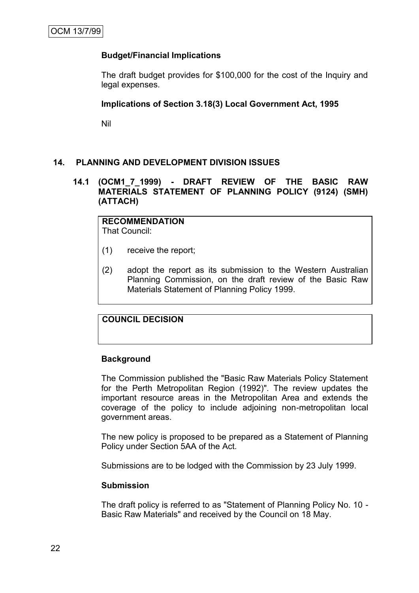# **Budget/Financial Implications**

The draft budget provides for \$100,000 for the cost of the Inquiry and legal expenses.

# **Implications of Section 3.18(3) Local Government Act, 1995**

Nil

# **14. PLANNING AND DEVELOPMENT DIVISION ISSUES**

# **14.1 (OCM1\_7\_1999) - DRAFT REVIEW OF THE BASIC RAW MATERIALS STATEMENT OF PLANNING POLICY (9124) (SMH) (ATTACH)**

**RECOMMENDATION** That Council:

- (1) receive the report;
- (2) adopt the report as its submission to the Western Australian Planning Commission, on the draft review of the Basic Raw Materials Statement of Planning Policy 1999.

# **COUNCIL DECISION**

#### **Background**

The Commission published the "Basic Raw Materials Policy Statement for the Perth Metropolitan Region (1992)". The review updates the important resource areas in the Metropolitan Area and extends the coverage of the policy to include adjoining non-metropolitan local government areas.

The new policy is proposed to be prepared as a Statement of Planning Policy under Section 5AA of the Act.

Submissions are to be lodged with the Commission by 23 July 1999.

#### **Submission**

The draft policy is referred to as "Statement of Planning Policy No. 10 - Basic Raw Materials" and received by the Council on 18 May.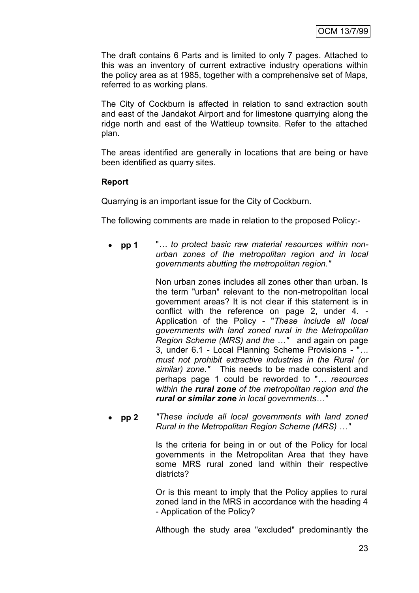The draft contains 6 Parts and is limited to only 7 pages. Attached to this was an inventory of current extractive industry operations within the policy area as at 1985, together with a comprehensive set of Maps, referred to as working plans.

The City of Cockburn is affected in relation to sand extraction south and east of the Jandakot Airport and for limestone quarrying along the ridge north and east of the Wattleup townsite. Refer to the attached plan.

The areas identified are generally in locations that are being or have been identified as quarry sites.

# **Report**

Quarrying is an important issue for the City of Cockburn.

The following comments are made in relation to the proposed Policy:-

 **pp 1** "*… to protect basic raw material resources within nonurban zones of the metropolitan region and in local governments abutting the metropolitan region."*

> Non urban zones includes all zones other than urban. Is the term "urban" relevant to the non-metropolitan local government areas? It is not clear if this statement is in conflict with the reference on page 2, under 4. - Application of the Policy - "*These include all local governments with land zoned rural in the Metropolitan Region Scheme (MRS) and the …"* and again on page 3, under 6.1 - Local Planning Scheme Provisions - "*… must not prohibit extractive industries in the Rural (or similar) zone."* This needs to be made consistent and perhaps page 1 could be reworded to "*… resources within the rural zone of the metropolitan region and the rural or similar zone in local governments…"*

 **pp 2** *"These include all local governments with land zoned Rural in the Metropolitan Region Scheme (MRS) …"*

> Is the criteria for being in or out of the Policy for local governments in the Metropolitan Area that they have some MRS rural zoned land within their respective districts?

> Or is this meant to imply that the Policy applies to rural zoned land in the MRS in accordance with the heading 4 - Application of the Policy?

> Although the study area "excluded" predominantly the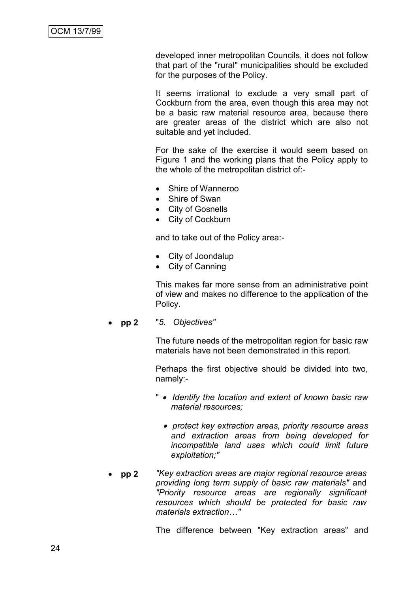developed inner metropolitan Councils, it does not follow that part of the "rural" municipalities should be excluded for the purposes of the Policy.

It seems irrational to exclude a very small part of Cockburn from the area, even though this area may not be a basic raw material resource area, because there are greater areas of the district which are also not suitable and yet included.

For the sake of the exercise it would seem based on Figure 1 and the working plans that the Policy apply to the whole of the metropolitan district of:-

- Shire of Wanneroo
- Shire of Swan
- City of Gosnells
- City of Cockburn

and to take out of the Policy area:-

- City of Joondalup
- City of Canning

This makes far more sense from an administrative point of view and makes no difference to the application of the Policy.

**pp 2** "*5. Objectives"*

The future needs of the metropolitan region for basic raw materials have not been demonstrated in this report.

Perhaps the first objective should be divided into two, namely:-

- "  *Identify the location and extent of known basic raw material resources;*
	- *protect key extraction areas, priority resource areas and extraction areas from being developed for incompatible land uses which could limit future exploitation;"*
- **pp 2** *"Key extraction areas are major regional resource areas providing long term supply of basic raw materials"* and *"Priority resource areas are regionally significant resources which should be protected for basic raw materials extraction…"*

The difference between "Key extraction areas" and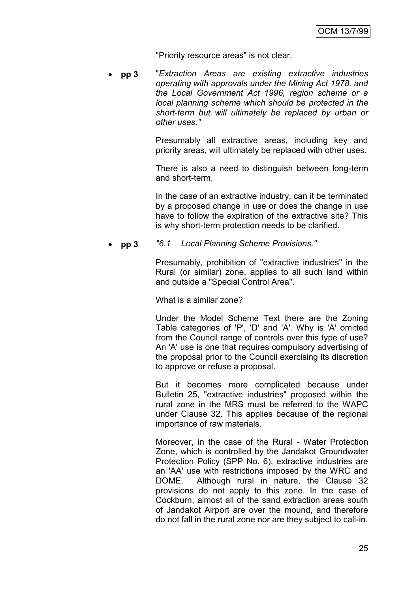"Priority resource areas" is not clear.

 **pp 3** "*Extraction Areas are existing extractive industries operating with approvals under the Mining Act 1978, and the Local Government Act 1996, region scheme or a local planning scheme which should be protected in the short-term but will ultimately be replaced by urban or other uses."*

> Presumably all extractive areas, including key and priority areas, will ultimately be replaced with other uses.

> There is also a need to distinguish between long-term and short-term.

> In the case of an extractive industry, can it be terminated by a proposed change in use or does the change in use have to follow the expiration of the extractive site? This is why short-term protection needs to be clarified.

**pp 3** *"6.1 Local Planning Scheme Provisions."*

Presumably, prohibition of "extractive industries" in the Rural (or similar) zone, applies to all such land within and outside a "Special Control Area".

What is a similar zone?

Under the Model Scheme Text there are the Zoning Table categories of 'P', 'D' and 'A'. Why is 'A' omitted from the Council range of controls over this type of use? An 'A' use is one that requires compulsory advertising of the proposal prior to the Council exercising its discretion to approve or refuse a proposal.

But it becomes more complicated because under Bulletin 25, "extractive industries" proposed within the rural zone in the MRS must be referred to the WAPC under Clause 32. This applies because of the regional importance of raw materials.

Moreover, in the case of the Rural - Water Protection Zone, which is controlled by the Jandakot Groundwater Protection Policy (SPP No. 6), extractive industries are an 'AA' use with restrictions imposed by the WRC and DOME. Although rural in nature, the Clause 32 provisions do not apply to this zone. In the case of Cockburn, almost all of the sand extraction areas south of Jandakot Airport are over the mound, and therefore do not fall in the rural zone nor are they subject to call-in.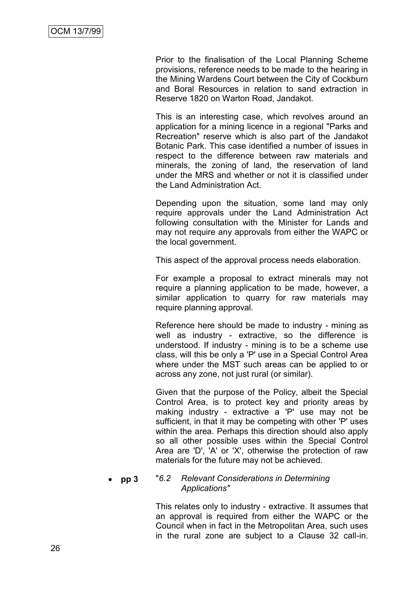Prior to the finalisation of the Local Planning Scheme provisions, reference needs to be made to the hearing in the Mining Wardens Court between the City of Cockburn and Boral Resources in relation to sand extraction in Reserve 1820 on Warton Road, Jandakot.

This is an interesting case, which revolves around an application for a mining licence in a regional "Parks and Recreation" reserve which is also part of the Jandakot Botanic Park. This case identified a number of issues in respect to the difference between raw materials and minerals, the zoning of land, the reservation of land under the MRS and whether or not it is classified under the Land Administration Act.

Depending upon the situation, some land may only require approvals under the Land Administration Act following consultation with the Minister for Lands and may not require any approvals from either the WAPC or the local government.

This aspect of the approval process needs elaboration.

For example a proposal to extract minerals may not require a planning application to be made, however, a similar application to quarry for raw materials may require planning approval.

Reference here should be made to industry - mining as well as industry - extractive, so the difference is understood. If industry - mining is to be a scheme use class, will this be only a 'P' use in a Special Control Area where under the MST such areas can be applied to or across any zone, not just rural (or similar).

Given that the purpose of the Policy, albeit the Special Control Area, is to protect key and priority areas by making industry - extractive a 'P' use may not be sufficient, in that it may be competing with other 'P' uses within the area. Perhaps this direction should also apply so all other possible uses within the Special Control Area are 'D', 'A' or 'X', otherwise the protection of raw materials for the future may not be achieved.

#### **pp 3** "*6.2 Relevant Considerations in Determining Applications"*

This relates only to industry - extractive. It assumes that an approval is required from either the WAPC or the Council when in fact in the Metropolitan Area, such uses in the rural zone are subject to a Clause 32 call-in.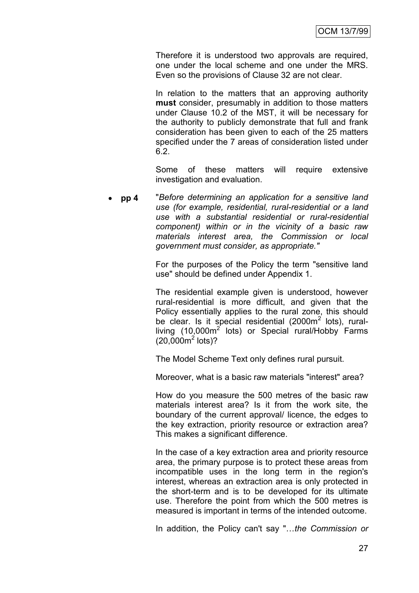Therefore it is understood two approvals are required, one under the local scheme and one under the MRS. Even so the provisions of Clause 32 are not clear.

In relation to the matters that an approving authority **must** consider, presumably in addition to those matters under Clause 10.2 of the MST, it will be necessary for the authority to publicly demonstrate that full and frank consideration has been given to each of the 25 matters specified under the 7 areas of consideration listed under 6.2.

Some of these matters will require extensive investigation and evaluation.

 **pp 4** "*Before determining an application for a sensitive land use (for example, residential, rural-residential or a land use with a substantial residential or rural-residential component) within or in the vicinity of a basic raw materials interest area, the Commission or local government must consider, as appropriate."*

> For the purposes of the Policy the term "sensitive land use" should be defined under Appendix 1.

> The residential example given is understood, however rural-residential is more difficult, and given that the Policy essentially applies to the rural zone, this should be clear. Is it special residential (2000 $m^2$  lots), ruralliving (10,000 $m^2$  lots) or Special rural/Hobby Farms  $(20,000<sup>2</sup> lots)?$

The Model Scheme Text only defines rural pursuit.

Moreover, what is a basic raw materials "interest" area?

How do you measure the 500 metres of the basic raw materials interest area? Is it from the work site, the boundary of the current approval/ licence, the edges to the key extraction, priority resource or extraction area? This makes a significant difference.

In the case of a key extraction area and priority resource area, the primary purpose is to protect these areas from incompatible uses in the long term in the region's interest, whereas an extraction area is only protected in the short-term and is to be developed for its ultimate use. Therefore the point from which the 500 metres is measured is important in terms of the intended outcome.

In addition, the Policy can't say "…*the Commission or*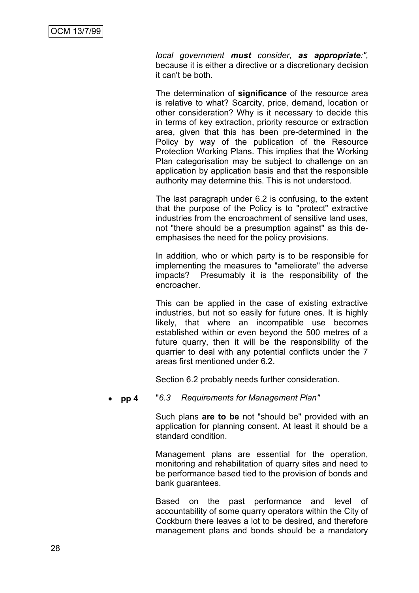*local government must consider, as appropriate:",*  because it is either a directive or a discretionary decision it can't be both.

The determination of **significance** of the resource area is relative to what? Scarcity, price, demand, location or other consideration? Why is it necessary to decide this in terms of key extraction, priority resource or extraction area, given that this has been pre-determined in the Policy by way of the publication of the Resource Protection Working Plans. This implies that the Working Plan categorisation may be subject to challenge on an application by application basis and that the responsible authority may determine this. This is not understood.

The last paragraph under 6.2 is confusing, to the extent that the purpose of the Policy is to "protect" extractive industries from the encroachment of sensitive land uses, not "there should be a presumption against" as this deemphasises the need for the policy provisions.

In addition, who or which party is to be responsible for implementing the measures to "ameliorate" the adverse impacts? Presumably it is the responsibility of the encroacher.

This can be applied in the case of existing extractive industries, but not so easily for future ones. It is highly likely, that where an incompatible use becomes established within or even beyond the 500 metres of a future quarry, then it will be the responsibility of the quarrier to deal with any potential conflicts under the 7 areas first mentioned under 6.2.

Section 6.2 probably needs further consideration.

**pp 4** "*6.3 Requirements for Management Plan"*

Such plans **are to be** not "should be" provided with an application for planning consent. At least it should be a standard condition.

Management plans are essential for the operation, monitoring and rehabilitation of quarry sites and need to be performance based tied to the provision of bonds and bank guarantees.

Based on the past performance and level of accountability of some quarry operators within the City of Cockburn there leaves a lot to be desired, and therefore management plans and bonds should be a mandatory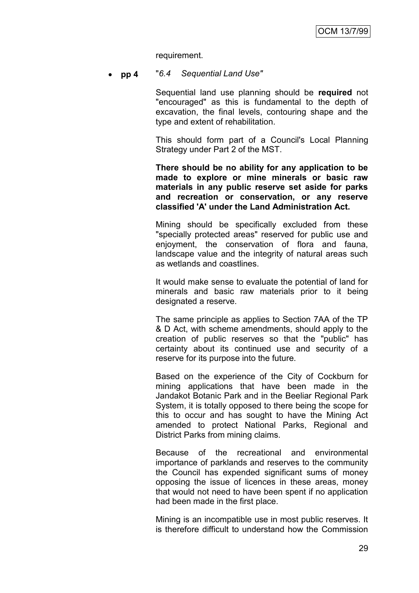requirement.

**pp 4** "*6.4 Sequential Land Use"*

Sequential land use planning should be **required** not "encouraged" as this is fundamental to the depth of excavation, the final levels, contouring shape and the type and extent of rehabilitation.

This should form part of a Council's Local Planning Strategy under Part 2 of the MST.

**There should be no ability for any application to be made to explore or mine minerals or basic raw materials in any public reserve set aside for parks and recreation or conservation, or any reserve classified 'A' under the Land Administration Act.**

Mining should be specifically excluded from these "specially protected areas" reserved for public use and enjoyment, the conservation of flora and fauna, landscape value and the integrity of natural areas such as wetlands and coastlines.

It would make sense to evaluate the potential of land for minerals and basic raw materials prior to it being designated a reserve.

The same principle as applies to Section 7AA of the TP & D Act, with scheme amendments, should apply to the creation of public reserves so that the "public" has certainty about its continued use and security of a reserve for its purpose into the future.

Based on the experience of the City of Cockburn for mining applications that have been made in the Jandakot Botanic Park and in the Beeliar Regional Park System, it is totally opposed to there being the scope for this to occur and has sought to have the Mining Act amended to protect National Parks, Regional and District Parks from mining claims.

Because of the recreational and environmental importance of parklands and reserves to the community the Council has expended significant sums of money opposing the issue of licences in these areas, money that would not need to have been spent if no application had been made in the first place.

Mining is an incompatible use in most public reserves. It is therefore difficult to understand how the Commission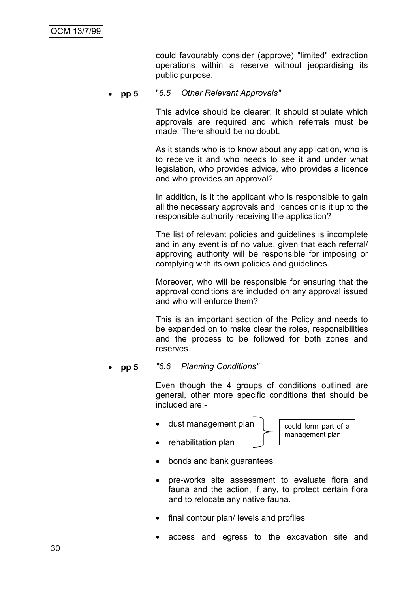could favourably consider (approve) "limited" extraction operations within a reserve without jeopardising its public purpose.

**pp 5** "*6.5 Other Relevant Approvals"*

This advice should be clearer. It should stipulate which approvals are required and which referrals must be made. There should be no doubt.

As it stands who is to know about any application, who is to receive it and who needs to see it and under what legislation, who provides advice, who provides a licence and who provides an approval?

In addition, is it the applicant who is responsible to gain all the necessary approvals and licences or is it up to the responsible authority receiving the application?

The list of relevant policies and guidelines is incomplete and in any event is of no value, given that each referral/ approving authority will be responsible for imposing or complying with its own policies and guidelines.

Moreover, who will be responsible for ensuring that the approval conditions are included on any approval issued and who will enforce them?

This is an important section of the Policy and needs to be expanded on to make clear the roles, responsibilities and the process to be followed for both zones and reserves.

**pp 5** *"6.6 Planning Conditions"*

Even though the 4 groups of conditions outlined are general, other more specific conditions that should be included are:-

dust management plan

could form part of a management plan

- rehabilitation plan
- bonds and bank guarantees
- pre-works site assessment to evaluate flora and fauna and the action, if any, to protect certain flora and to relocate any native fauna.
- final contour plan/ levels and profiles
- access and egress to the excavation site and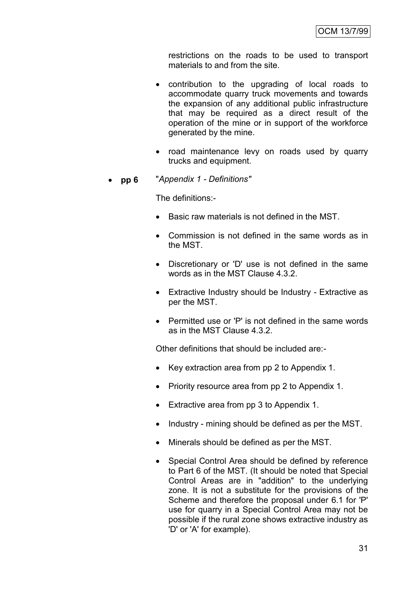restrictions on the roads to be used to transport materials to and from the site.

- contribution to the upgrading of local roads to accommodate quarry truck movements and towards the expansion of any additional public infrastructure that may be required as a direct result of the operation of the mine or in support of the workforce generated by the mine.
- road maintenance levy on roads used by quarry trucks and equipment.
- **pp 6** "*Appendix 1 - Definitions"*

The definitions:-

- Basic raw materials is not defined in the MST.
- Commission is not defined in the same words as in the MST.
- Discretionary or 'D' use is not defined in the same words as in the MST Clause 4.3.2.
- Extractive Industry should be Industry Extractive as per the MST.
- Permitted use or 'P' is not defined in the same words as in the MST Clause 4.3.2.

Other definitions that should be included are:-

- Key extraction area from pp 2 to Appendix 1.
- Priority resource area from pp 2 to Appendix 1.
- Extractive area from pp 3 to Appendix 1.
- Industry mining should be defined as per the MST.
- Minerals should be defined as per the MST.
- Special Control Area should be defined by reference to Part 6 of the MST. (It should be noted that Special Control Areas are in "addition" to the underlying zone. It is not a substitute for the provisions of the Scheme and therefore the proposal under 6.1 for 'P' use for quarry in a Special Control Area may not be possible if the rural zone shows extractive industry as 'D' or 'A' for example).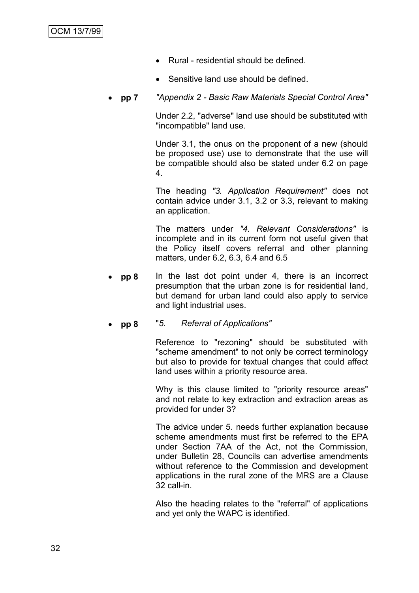- Rural residential should be defined.
- Sensitive land use should be defined.
- **pp 7** *"Appendix 2 - Basic Raw Materials Special Control Area"*

Under 2.2, "adverse" land use should be substituted with "incompatible" land use.

Under 3.1, the onus on the proponent of a new (should be proposed use) use to demonstrate that the use will be compatible should also be stated under 6.2 on page 4.

The heading *"3. Application Requirement"* does not contain advice under 3.1, 3.2 or 3.3, relevant to making an application.

The matters under *"4. Relevant Considerations"* is incomplete and in its current form not useful given that the Policy itself covers referral and other planning matters, under 6.2, 6.3, 6.4 and 6.5

- **pp 8** In the last dot point under 4, there is an incorrect presumption that the urban zone is for residential land, but demand for urban land could also apply to service and light industrial uses.
- **pp 8** "*5. Referral of Applications"*

Reference to "rezoning" should be substituted with "scheme amendment" to not only be correct terminology but also to provide for textual changes that could affect land uses within a priority resource area.

Why is this clause limited to "priority resource areas" and not relate to key extraction and extraction areas as provided for under 3?

The advice under 5. needs further explanation because scheme amendments must first be referred to the EPA under Section 7AA of the Act, not the Commission, under Bulletin 28, Councils can advertise amendments without reference to the Commission and development applications in the rural zone of the MRS are a Clause 32 call-in.

Also the heading relates to the "referral" of applications and yet only the WAPC is identified.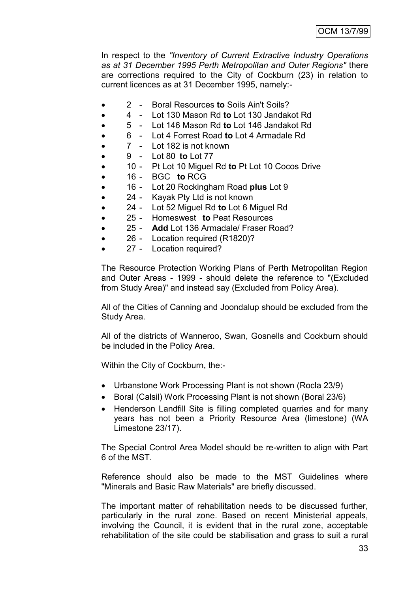In respect to the *"Inventory of Current Extractive Industry Operations as at 31 December 1995 Perth Metropolitan and Outer Regions"* there are corrections required to the City of Cockburn (23) in relation to current licences as at 31 December 1995, namely:-

- 2 Boral Resources **to** Soils Ain't Soils?
- 4 Lot 130 Mason Rd **to** Lot 130 Jandakot Rd
- 5 Lot 146 Mason Rd **to** Lot 146 Jandakot Rd
- 6 Lot 4 Forrest Road **to** Lot 4 Armadale Rd
- 7 Lot 182 is not known
- 9 Lot 80 **to** Lot 77
- 10 Pt Lot 10 Miguel Rd **to** Pt Lot 10 Cocos Drive
- 16 BGC **to** RCG
- 16 Lot 20 Rockingham Road **plus** Lot 9
- 24 Kayak Pty Ltd is not known
- 24 Lot 52 Miguel Rd **to** Lot 6 Miguel Rd
- 25 Homeswest **to** Peat Resources
- 25 **Add** Lot 136 Armadale/ Fraser Road?
- 26 Location required (R1820)?
- 27 Location required?

The Resource Protection Working Plans of Perth Metropolitan Region and Outer Areas - 1999 - should delete the reference to "(Excluded from Study Area)" and instead say (Excluded from Policy Area).

All of the Cities of Canning and Joondalup should be excluded from the Study Area.

All of the districts of Wanneroo, Swan, Gosnells and Cockburn should be included in the Policy Area.

Within the City of Cockburn, the:-

- Urbanstone Work Processing Plant is not shown (Rocla 23/9)
- Boral (Calsil) Work Processing Plant is not shown (Boral 23/6)
- Henderson Landfill Site is filling completed quarries and for many years has not been a Priority Resource Area (limestone) (WA Limestone 23/17).

The Special Control Area Model should be re-written to align with Part 6 of the MST.

Reference should also be made to the MST Guidelines where "Minerals and Basic Raw Materials" are briefly discussed.

The important matter of rehabilitation needs to be discussed further, particularly in the rural zone. Based on recent Ministerial appeals, involving the Council, it is evident that in the rural zone, acceptable rehabilitation of the site could be stabilisation and grass to suit a rural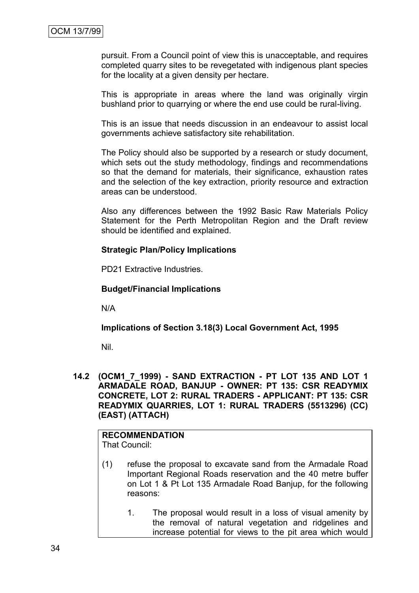pursuit. From a Council point of view this is unacceptable, and requires completed quarry sites to be revegetated with indigenous plant species for the locality at a given density per hectare.

This is appropriate in areas where the land was originally virgin bushland prior to quarrying or where the end use could be rural-living.

This is an issue that needs discussion in an endeavour to assist local governments achieve satisfactory site rehabilitation.

The Policy should also be supported by a research or study document, which sets out the study methodology, findings and recommendations so that the demand for materials, their significance, exhaustion rates and the selection of the key extraction, priority resource and extraction areas can be understood.

Also any differences between the 1992 Basic Raw Materials Policy Statement for the Perth Metropolitan Region and the Draft review should be identified and explained.

#### **Strategic Plan/Policy Implications**

PD21 Extractive Industries.

#### **Budget/Financial Implications**

N/A

**Implications of Section 3.18(3) Local Government Act, 1995**

Nil.

**14.2 (OCM1\_7\_1999) - SAND EXTRACTION - PT LOT 135 AND LOT 1 ARMADALE ROAD, BANJUP - OWNER: PT 135: CSR READYMIX CONCRETE, LOT 2: RURAL TRADERS - APPLICANT: PT 135: CSR READYMIX QUARRIES, LOT 1: RURAL TRADERS (5513296) (CC) (EAST) (ATTACH)**

**RECOMMENDATION** That Council:

- (1) refuse the proposal to excavate sand from the Armadale Road Important Regional Roads reservation and the 40 metre buffer on Lot 1 & Pt Lot 135 Armadale Road Banjup, for the following reasons:
	- 1. The proposal would result in a loss of visual amenity by the removal of natural vegetation and ridgelines and increase potential for views to the pit area which would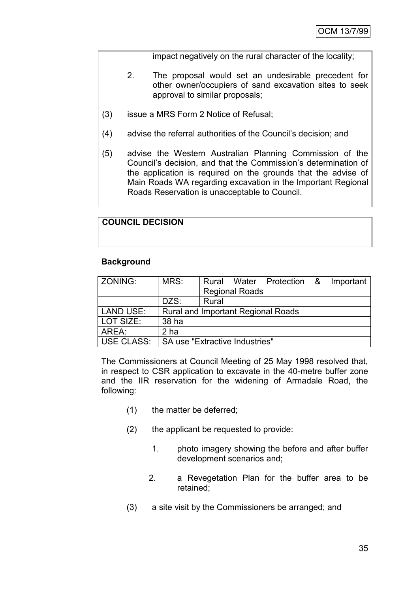impact negatively on the rural character of the locality;

- 2. The proposal would set an undesirable precedent for other owner/occupiers of sand excavation sites to seek approval to similar proposals;
- (3) issue a MRS Form 2 Notice of Refusal;
- (4) advise the referral authorities of the Council"s decision; and
- (5) advise the Western Australian Planning Commission of the Council"s decision, and that the Commission"s determination of the application is required on the grounds that the advise of Main Roads WA regarding excavation in the Important Regional Roads Reservation is unacceptable to Council.

# **COUNCIL DECISION**

# **Background**

| ZONING:          | MRS:                           |       | <b>Regional Roads</b> | Rural Water Protection & Important        |  |
|------------------|--------------------------------|-------|-----------------------|-------------------------------------------|--|
|                  |                                |       |                       |                                           |  |
|                  | DZS:                           | Rural |                       |                                           |  |
| <b>LAND USE:</b> |                                |       |                       | <b>Rural and Important Regional Roads</b> |  |
| LOT SIZE:        | 38 ha                          |       |                       |                                           |  |
| AREA:            | 2 ha                           |       |                       |                                           |  |
| USE CLASS:       | SA use "Extractive Industries" |       |                       |                                           |  |

The Commissioners at Council Meeting of 25 May 1998 resolved that, in respect to CSR application to excavate in the 40-metre buffer zone and the IIR reservation for the widening of Armadale Road, the following:

- (1) the matter be deferred;
- (2) the applicant be requested to provide:
	- 1. photo imagery showing the before and after buffer development scenarios and;
	- 2. a Revegetation Plan for the buffer area to be retained;
- (3) a site visit by the Commissioners be arranged; and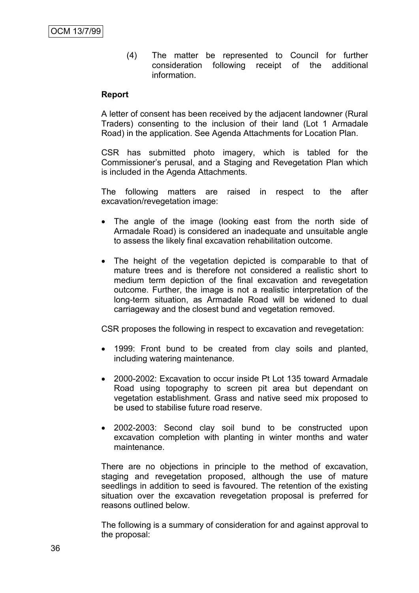(4) The matter be represented to Council for further consideration following receipt of the additional information.

#### **Report**

A letter of consent has been received by the adjacent landowner (Rural Traders) consenting to the inclusion of their land (Lot 1 Armadale Road) in the application. See Agenda Attachments for Location Plan.

CSR has submitted photo imagery, which is tabled for the Commissioner"s perusal, and a Staging and Revegetation Plan which is included in the Agenda Attachments.

The following matters are raised in respect to the after excavation/revegetation image:

- The angle of the image (looking east from the north side of Armadale Road) is considered an inadequate and unsuitable angle to assess the likely final excavation rehabilitation outcome.
- The height of the vegetation depicted is comparable to that of mature trees and is therefore not considered a realistic short to medium term depiction of the final excavation and revegetation outcome. Further, the image is not a realistic interpretation of the long-term situation, as Armadale Road will be widened to dual carriageway and the closest bund and vegetation removed.

CSR proposes the following in respect to excavation and revegetation:

- 1999: Front bund to be created from clay soils and planted, including watering maintenance.
- 2000-2002: Excavation to occur inside Pt Lot 135 toward Armadale Road using topography to screen pit area but dependant on vegetation establishment. Grass and native seed mix proposed to be used to stabilise future road reserve.
- 2002-2003: Second clay soil bund to be constructed upon excavation completion with planting in winter months and water maintenance.

There are no objections in principle to the method of excavation, staging and revegetation proposed, although the use of mature seedlings in addition to seed is favoured. The retention of the existing situation over the excavation revegetation proposal is preferred for reasons outlined below.

The following is a summary of consideration for and against approval to the proposal: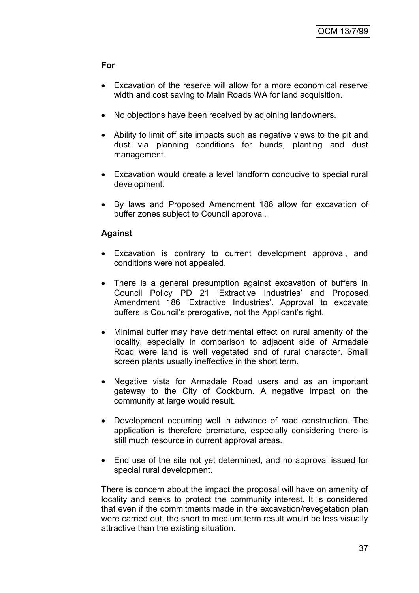# **For**

- Excavation of the reserve will allow for a more economical reserve width and cost saving to Main Roads WA for land acquisition.
- No objections have been received by adjoining landowners.
- Ability to limit off site impacts such as negative views to the pit and dust via planning conditions for bunds, planting and dust management.
- Excavation would create a level landform conducive to special rural development.
- By laws and Proposed Amendment 186 allow for excavation of buffer zones subject to Council approval.

# **Against**

- Excavation is contrary to current development approval, and conditions were not appealed.
- There is a general presumption against excavation of buffers in Council Policy PD 21 "Extractive Industries" and Proposed Amendment 186 'Extractive Industries'. Approval to excavate buffers is Council's prerogative, not the Applicant's right.
- Minimal buffer may have detrimental effect on rural amenity of the locality, especially in comparison to adjacent side of Armadale Road were land is well vegetated and of rural character. Small screen plants usually ineffective in the short term.
- Negative vista for Armadale Road users and as an important gateway to the City of Cockburn. A negative impact on the community at large would result.
- Development occurring well in advance of road construction. The application is therefore premature, especially considering there is still much resource in current approval areas.
- End use of the site not yet determined, and no approval issued for special rural development.

There is concern about the impact the proposal will have on amenity of locality and seeks to protect the community interest. It is considered that even if the commitments made in the excavation/revegetation plan were carried out, the short to medium term result would be less visually attractive than the existing situation.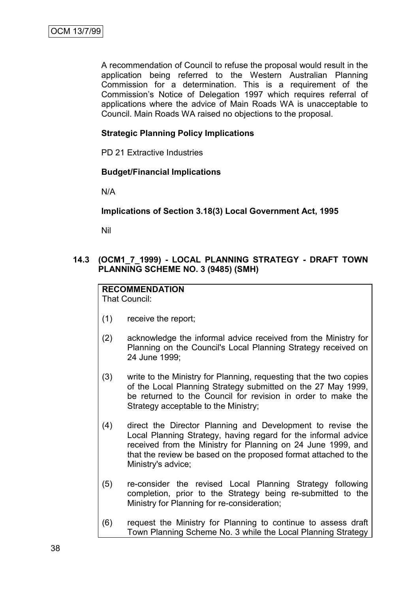A recommendation of Council to refuse the proposal would result in the application being referred to the Western Australian Planning Commission for a determination. This is a requirement of the Commission"s Notice of Delegation 1997 which requires referral of applications where the advice of Main Roads WA is unacceptable to Council. Main Roads WA raised no objections to the proposal.

# **Strategic Planning Policy Implications**

PD 21 Extractive Industries

#### **Budget/Financial Implications**

N/A

# **Implications of Section 3.18(3) Local Government Act, 1995**

Nil

# **14.3 (OCM1\_7\_1999) - LOCAL PLANNING STRATEGY - DRAFT TOWN PLANNING SCHEME NO. 3 (9485) (SMH)**

#### **RECOMMENDATION** That Council:

- (1) receive the report;
- (2) acknowledge the informal advice received from the Ministry for Planning on the Council's Local Planning Strategy received on 24 June 1999;
- (3) write to the Ministry for Planning, requesting that the two copies of the Local Planning Strategy submitted on the 27 May 1999, be returned to the Council for revision in order to make the Strategy acceptable to the Ministry;
- (4) direct the Director Planning and Development to revise the Local Planning Strategy, having regard for the informal advice received from the Ministry for Planning on 24 June 1999, and that the review be based on the proposed format attached to the Ministry's advice;
- (5) re-consider the revised Local Planning Strategy following completion, prior to the Strategy being re-submitted to the Ministry for Planning for re-consideration;
- (6) request the Ministry for Planning to continue to assess draft Town Planning Scheme No. 3 while the Local Planning Strategy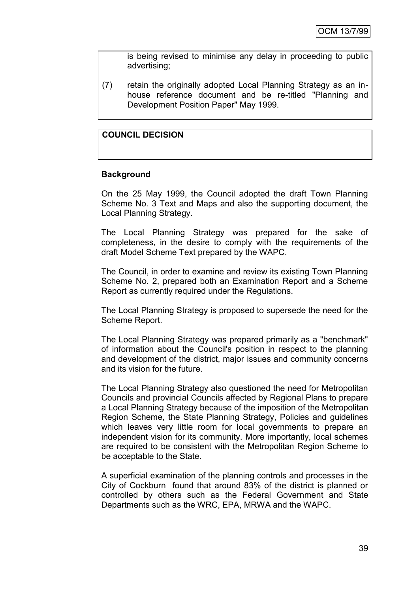is being revised to minimise any delay in proceeding to public advertising;

(7) retain the originally adopted Local Planning Strategy as an inhouse reference document and be re-titled "Planning and Development Position Paper" May 1999.

# **COUNCIL DECISION**

#### **Background**

On the 25 May 1999, the Council adopted the draft Town Planning Scheme No. 3 Text and Maps and also the supporting document, the Local Planning Strategy.

The Local Planning Strategy was prepared for the sake of completeness, in the desire to comply with the requirements of the draft Model Scheme Text prepared by the WAPC.

The Council, in order to examine and review its existing Town Planning Scheme No. 2, prepared both an Examination Report and a Scheme Report as currently required under the Regulations.

The Local Planning Strategy is proposed to supersede the need for the Scheme Report.

The Local Planning Strategy was prepared primarily as a "benchmark" of information about the Council's position in respect to the planning and development of the district, major issues and community concerns and its vision for the future.

The Local Planning Strategy also questioned the need for Metropolitan Councils and provincial Councils affected by Regional Plans to prepare a Local Planning Strategy because of the imposition of the Metropolitan Region Scheme, the State Planning Strategy, Policies and guidelines which leaves very little room for local governments to prepare an independent vision for its community. More importantly, local schemes are required to be consistent with the Metropolitan Region Scheme to be acceptable to the State.

A superficial examination of the planning controls and processes in the City of Cockburn found that around 83% of the district is planned or controlled by others such as the Federal Government and State Departments such as the WRC, EPA, MRWA and the WAPC.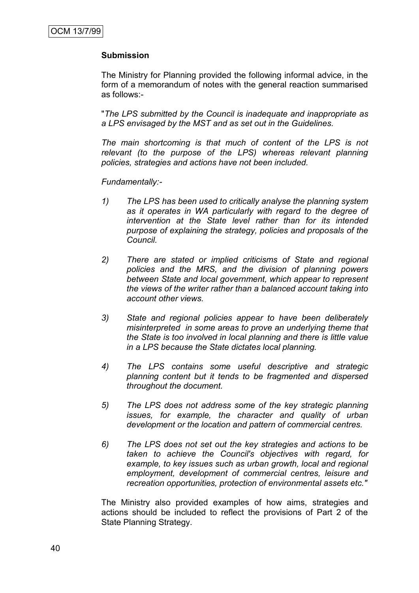# **Submission**

The Ministry for Planning provided the following informal advice, in the form of a memorandum of notes with the general reaction summarised as follows:-

"*The LPS submitted by the Council is inadequate and inappropriate as a LPS envisaged by the MST and as set out in the Guidelines.*

*The main shortcoming is that much of content of the LPS is not*  relevant (to the purpose of the LPS) whereas relevant planning *policies, strategies and actions have not been included.*

*Fundamentally:-*

- *1) The LPS has been used to critically analyse the planning system as it operates in WA particularly with regard to the degree of intervention at the State level rather than for its intended purpose of explaining the strategy, policies and proposals of the Council.*
- *2) There are stated or implied criticisms of State and regional policies and the MRS, and the division of planning powers between State and local government, which appear to represent the views of the writer rather than a balanced account taking into account other views.*
- *3) State and regional policies appear to have been deliberately misinterpreted in some areas to prove an underlying theme that the State is too involved in local planning and there is little value in a LPS because the State dictates local planning.*
- *4) The LPS contains some useful descriptive and strategic planning content but it tends to be fragmented and dispersed throughout the document.*
- *5) The LPS does not address some of the key strategic planning issues, for example, the character and quality of urban development or the location and pattern of commercial centres.*
- *6) The LPS does not set out the key strategies and actions to be taken to achieve the Council's objectives with regard, for example, to key issues such as urban growth, local and regional employment, development of commercial centres, leisure and recreation opportunities, protection of environmental assets etc."*

The Ministry also provided examples of how aims, strategies and actions should be included to reflect the provisions of Part 2 of the State Planning Strategy.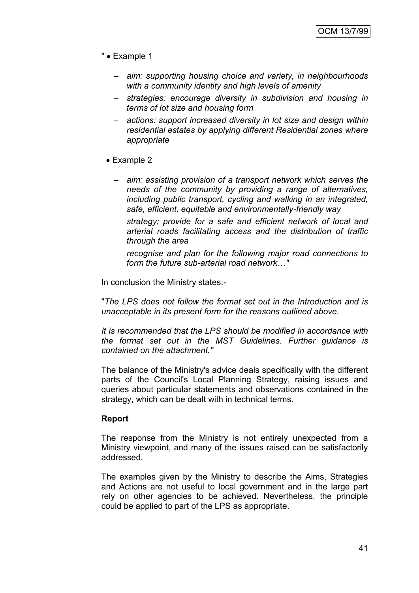- " Example 1
	- *aim: supporting housing choice and variety, in neighbourhoods with a community identity and high levels of amenity*
	- *strategies: encourage diversity in subdivision and housing in terms of lot size and housing form*
	- *actions: support increased diversity in lot size and design within residential estates by applying different Residential zones where appropriate*
	- Example 2
		- *aim: assisting provision of a transport network which serves the needs of the community by providing a range of alternatives, including public transport, cycling and walking in an integrated, safe, efficient, equitable and environmentally-friendly way*
		- *strategy; provide for a safe and efficient network of local and arterial roads facilitating access and the distribution of traffic through the area*
		- *recognise and plan for the following major road connections to form the future sub-arterial road network…"*

In conclusion the Ministry states:-

"*The LPS does not follow the format set out in the Introduction and is unacceptable in its present form for the reasons outlined above.*

*It is recommended that the LPS should be modified in accordance with the format set out in the MST Guidelines. Further guidance is contained on the attachment."*

The balance of the Ministry's advice deals specifically with the different parts of the Council's Local Planning Strategy, raising issues and queries about particular statements and observations contained in the strategy, which can be dealt with in technical terms.

# **Report**

The response from the Ministry is not entirely unexpected from a Ministry viewpoint, and many of the issues raised can be satisfactorily addressed.

The examples given by the Ministry to describe the Aims, Strategies and Actions are not useful to local government and in the large part rely on other agencies to be achieved. Nevertheless, the principle could be applied to part of the LPS as appropriate.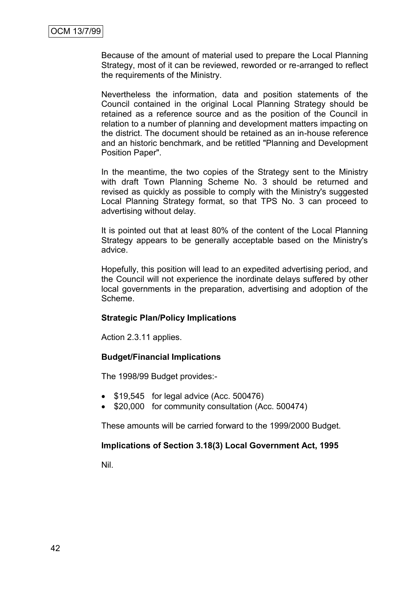Because of the amount of material used to prepare the Local Planning Strategy, most of it can be reviewed, reworded or re-arranged to reflect the requirements of the Ministry.

Nevertheless the information, data and position statements of the Council contained in the original Local Planning Strategy should be retained as a reference source and as the position of the Council in relation to a number of planning and development matters impacting on the district. The document should be retained as an in-house reference and an historic benchmark, and be retitled "Planning and Development Position Paper".

In the meantime, the two copies of the Strategy sent to the Ministry with draft Town Planning Scheme No. 3 should be returned and revised as quickly as possible to comply with the Ministry's suggested Local Planning Strategy format, so that TPS No. 3 can proceed to advertising without delay.

It is pointed out that at least 80% of the content of the Local Planning Strategy appears to be generally acceptable based on the Ministry's advice.

Hopefully, this position will lead to an expedited advertising period, and the Council will not experience the inordinate delays suffered by other local governments in the preparation, advertising and adoption of the Scheme.

# **Strategic Plan/Policy Implications**

Action 2.3.11 applies.

# **Budget/Financial Implications**

The 1998/99 Budget provides:-

- \$19,545 for legal advice (Acc. 500476)
- \$20,000 for community consultation (Acc. 500474)

These amounts will be carried forward to the 1999/2000 Budget.

# **Implications of Section 3.18(3) Local Government Act, 1995**

Nil.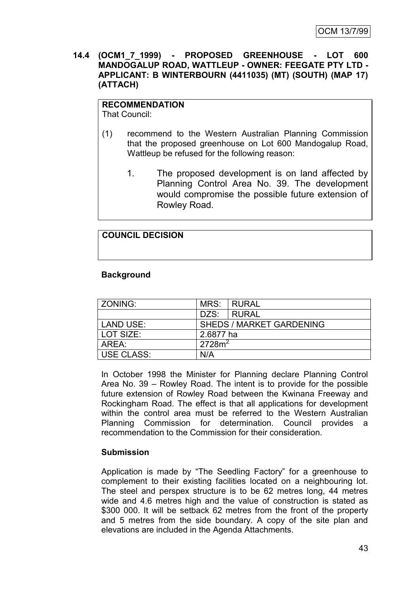**14.4 (OCM1\_7\_1999) - PROPOSED GREENHOUSE - LOT 600 MANDOGALUP ROAD, WATTLEUP - OWNER: FEEGATE PTY LTD - APPLICANT: B WINTERBOURN (4411035) (MT) (SOUTH) (MAP 17) (ATTACH)**

# **RECOMMENDATION**

That Council:

- (1) recommend to the Western Australian Planning Commission that the proposed greenhouse on Lot 600 Mandogalup Road, Wattleup be refused for the following reason:
	- 1. The proposed development is on land affected by Planning Control Area No. 39. The development would compromise the possible future extension of Rowley Road.

# **COUNCIL DECISION**

# **Background**

| ZONING:           | MRS:               | I RURAL                         |
|-------------------|--------------------|---------------------------------|
|                   | DZS:               | <b>I RURAL</b>                  |
| LAND USE:         |                    | <b>SHEDS / MARKET GARDENING</b> |
| LOT SIZE:         | 2.6877 ha          |                                 |
| AREA:             | 2728m <sup>2</sup> |                                 |
| <b>USE CLASS:</b> | N/A                |                                 |

In October 1998 the Minister for Planning declare Planning Control Area No. 39 – Rowley Road. The intent is to provide for the possible future extension of Rowley Road between the Kwinana Freeway and Rockingham Road. The effect is that all applications for development within the control area must be referred to the Western Australian Planning Commission for determination. Council provides a recommendation to the Commission for their consideration.

# **Submission**

Application is made by "The Seedling Factory" for a greenhouse to complement to their existing facilities located on a neighbouring lot. The steel and perspex structure is to be 62 metres long, 44 metres wide and 4.6 metres high and the value of construction is stated as \$300 000. It will be setback 62 metres from the front of the property and 5 metres from the side boundary. A copy of the site plan and elevations are included in the Agenda Attachments.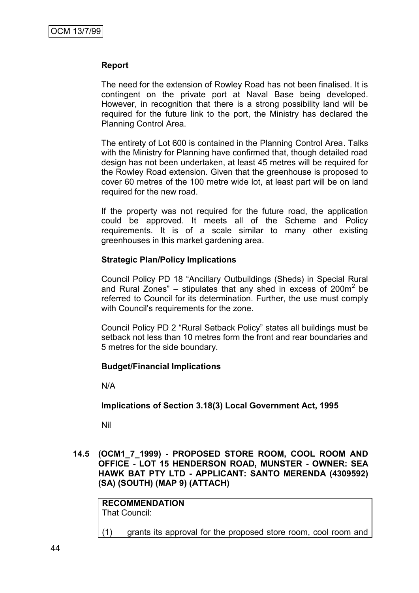#### **Report**

The need for the extension of Rowley Road has not been finalised. It is contingent on the private port at Naval Base being developed. However, in recognition that there is a strong possibility land will be required for the future link to the port, the Ministry has declared the Planning Control Area.

The entirety of Lot 600 is contained in the Planning Control Area. Talks with the Ministry for Planning have confirmed that, though detailed road design has not been undertaken, at least 45 metres will be required for the Rowley Road extension. Given that the greenhouse is proposed to cover 60 metres of the 100 metre wide lot, at least part will be on land required for the new road.

If the property was not required for the future road, the application could be approved. It meets all of the Scheme and Policy requirements. It is of a scale similar to many other existing greenhouses in this market gardening area.

# **Strategic Plan/Policy Implications**

Council Policy PD 18 "Ancillary Outbuildings (Sheds) in Special Rural and Rural Zones" – stipulates that any shed in excess of 200 $m^2$  be referred to Council for its determination. Further, the use must comply with Council's requirements for the zone.

Council Policy PD 2 "Rural Setback Policy" states all buildings must be setback not less than 10 metres form the front and rear boundaries and 5 metres for the side boundary.

# **Budget/Financial Implications**

N/A

#### **Implications of Section 3.18(3) Local Government Act, 1995**

Nil

**14.5 (OCM1\_7\_1999) - PROPOSED STORE ROOM, COOL ROOM AND OFFICE - LOT 15 HENDERSON ROAD, MUNSTER - OWNER: SEA HAWK BAT PTY LTD - APPLICANT: SANTO MERENDA (4309592) (SA) (SOUTH) (MAP 9) (ATTACH)**

| <b>RECOMMENDATION</b> |  |  |
|-----------------------|--|--|
| That Council:         |  |  |
|                       |  |  |

(1) grants its approval for the proposed store room, cool room and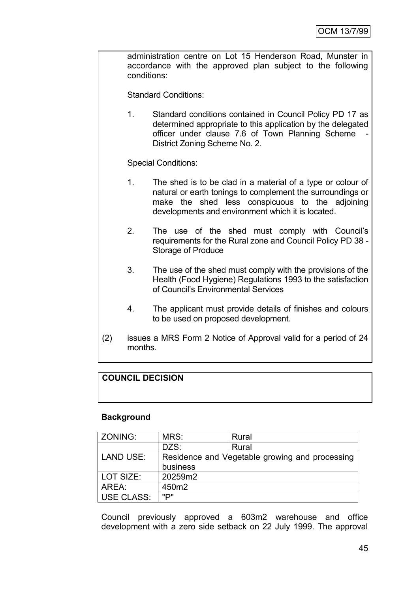administration centre on Lot 15 Henderson Road, Munster in accordance with the approved plan subject to the following conditions:

Standard Conditions:

1. Standard conditions contained in Council Policy PD 17 as determined appropriate to this application by the delegated officer under clause 7.6 of Town Planning Scheme District Zoning Scheme No. 2.

Special Conditions:

- 1. The shed is to be clad in a material of a type or colour of natural or earth tonings to complement the surroundings or make the shed less conspicuous to the adjoining developments and environment which it is located.
- 2. The use of the shed must comply with Council"s requirements for the Rural zone and Council Policy PD 38 - Storage of Produce
- 3. The use of the shed must comply with the provisions of the Health (Food Hygiene) Regulations 1993 to the satisfaction of Council"s Environmental Services
- 4. The applicant must provide details of finishes and colours to be used on proposed development.
- (2) issues a MRS Form 2 Notice of Approval valid for a period of 24 months.

# **COUNCIL DECISION**

# **Background**

| ZONING:           | MRS:     | Rural                                          |
|-------------------|----------|------------------------------------------------|
|                   | DZS:     | Rural                                          |
| <b>LAND USE:</b>  |          | Residence and Vegetable growing and processing |
|                   | business |                                                |
| LOT SIZE:         | 20259m2  |                                                |
| AREA:             | 450m2    |                                                |
| <b>USE CLASS:</b> | ייםיי    |                                                |

Council previously approved a 603m2 warehouse and office development with a zero side setback on 22 July 1999. The approval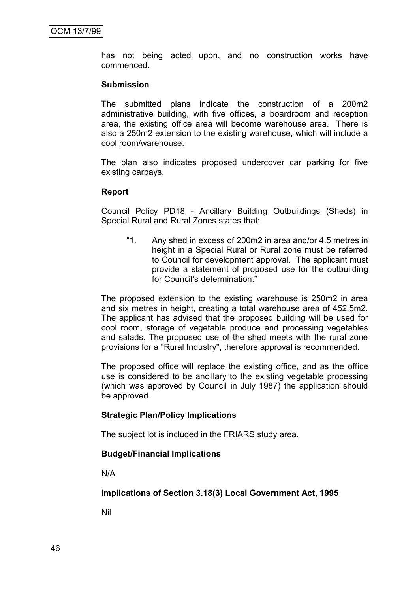has not being acted upon, and no construction works have commenced.

#### **Submission**

The submitted plans indicate the construction of a 200m2 administrative building, with five offices, a boardroom and reception area, the existing office area will become warehouse area. There is also a 250m2 extension to the existing warehouse, which will include a cool room/warehouse.

The plan also indicates proposed undercover car parking for five existing carbays.

#### **Report**

Council Policy PD18 - Ancillary Building Outbuildings (Sheds) in Special Rural and Rural Zones states that:

"1. Any shed in excess of 200m2 in area and/or 4.5 metres in height in a Special Rural or Rural zone must be referred to Council for development approval. The applicant must provide a statement of proposed use for the outbuilding for Council's determination."

The proposed extension to the existing warehouse is 250m2 in area and six metres in height, creating a total warehouse area of 452.5m2. The applicant has advised that the proposed building will be used for cool room, storage of vegetable produce and processing vegetables and salads. The proposed use of the shed meets with the rural zone provisions for a "Rural Industry", therefore approval is recommended.

The proposed office will replace the existing office, and as the office use is considered to be ancillary to the existing vegetable processing (which was approved by Council in July 1987) the application should be approved.

# **Strategic Plan/Policy Implications**

The subject lot is included in the FRIARS study area.

# **Budget/Financial Implications**

N/A

**Implications of Section 3.18(3) Local Government Act, 1995**

Nil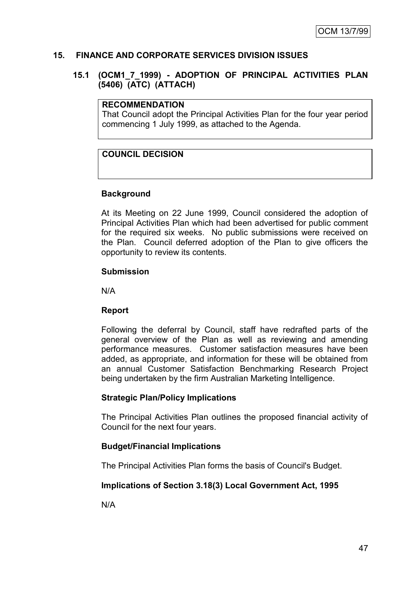# **15. FINANCE AND CORPORATE SERVICES DIVISION ISSUES**

# **15.1 (OCM1\_7\_1999) - ADOPTION OF PRINCIPAL ACTIVITIES PLAN (5406) (ATC) (ATTACH)**

#### **RECOMMENDATION**

That Council adopt the Principal Activities Plan for the four year period commencing 1 July 1999, as attached to the Agenda.

# **COUNCIL DECISION**

# **Background**

At its Meeting on 22 June 1999, Council considered the adoption of Principal Activities Plan which had been advertised for public comment for the required six weeks. No public submissions were received on the Plan. Council deferred adoption of the Plan to give officers the opportunity to review its contents.

#### **Submission**

N/A

# **Report**

Following the deferral by Council, staff have redrafted parts of the general overview of the Plan as well as reviewing and amending performance measures. Customer satisfaction measures have been added, as appropriate, and information for these will be obtained from an annual Customer Satisfaction Benchmarking Research Project being undertaken by the firm Australian Marketing Intelligence.

# **Strategic Plan/Policy Implications**

The Principal Activities Plan outlines the proposed financial activity of Council for the next four years.

# **Budget/Financial Implications**

The Principal Activities Plan forms the basis of Council's Budget.

# **Implications of Section 3.18(3) Local Government Act, 1995**

N/A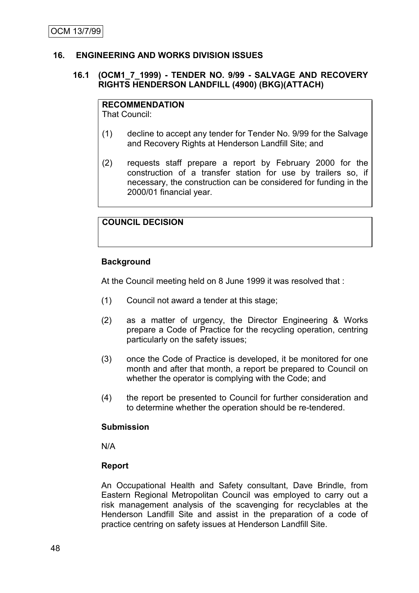# **16. ENGINEERING AND WORKS DIVISION ISSUES**

# **16.1 (OCM1\_7\_1999) - TENDER NO. 9/99 - SALVAGE AND RECOVERY RIGHTS HENDERSON LANDFILL (4900) (BKG)(ATTACH)**

# **RECOMMENDATION**

That Council:

- (1) decline to accept any tender for Tender No. 9/99 for the Salvage and Recovery Rights at Henderson Landfill Site; and
- (2) requests staff prepare a report by February 2000 for the construction of a transfer station for use by trailers so, if necessary, the construction can be considered for funding in the 2000/01 financial year.

# **COUNCIL DECISION**

# **Background**

At the Council meeting held on 8 June 1999 it was resolved that :

- (1) Council not award a tender at this stage;
- (2) as a matter of urgency, the Director Engineering & Works prepare a Code of Practice for the recycling operation, centring particularly on the safety issues;
- (3) once the Code of Practice is developed, it be monitored for one month and after that month, a report be prepared to Council on whether the operator is complying with the Code; and
- (4) the report be presented to Council for further consideration and to determine whether the operation should be re-tendered.

#### **Submission**

N/A

# **Report**

An Occupational Health and Safety consultant, Dave Brindle, from Eastern Regional Metropolitan Council was employed to carry out a risk management analysis of the scavenging for recyclables at the Henderson Landfill Site and assist in the preparation of a code of practice centring on safety issues at Henderson Landfill Site.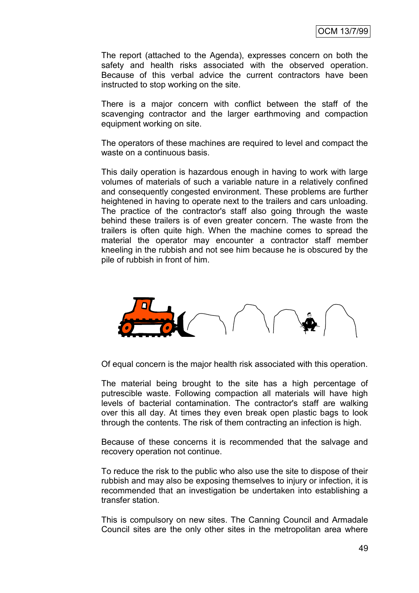The report (attached to the Agenda), expresses concern on both the safety and health risks associated with the observed operation. Because of this verbal advice the current contractors have been instructed to stop working on the site.

There is a major concern with conflict between the staff of the scavenging contractor and the larger earthmoving and compaction equipment working on site.

The operators of these machines are required to level and compact the waste on a continuous basis.

This daily operation is hazardous enough in having to work with large volumes of materials of such a variable nature in a relatively confined and consequently congested environment. These problems are further heightened in having to operate next to the trailers and cars unloading. The practice of the contractor's staff also going through the waste behind these trailers is of even greater concern. The waste from the trailers is often quite high. When the machine comes to spread the material the operator may encounter a contractor staff member kneeling in the rubbish and not see him because he is obscured by the pile of rubbish in front of him.



Of equal concern is the major health risk associated with this operation.

The material being brought to the site has a high percentage of putrescible waste. Following compaction all materials will have high levels of bacterial contamination. The contractor's staff are walking over this all day. At times they even break open plastic bags to look through the contents. The risk of them contracting an infection is high.

Because of these concerns it is recommended that the salvage and recovery operation not continue.

To reduce the risk to the public who also use the site to dispose of their rubbish and may also be exposing themselves to injury or infection, it is recommended that an investigation be undertaken into establishing a transfer station.

This is compulsory on new sites. The Canning Council and Armadale Council sites are the only other sites in the metropolitan area where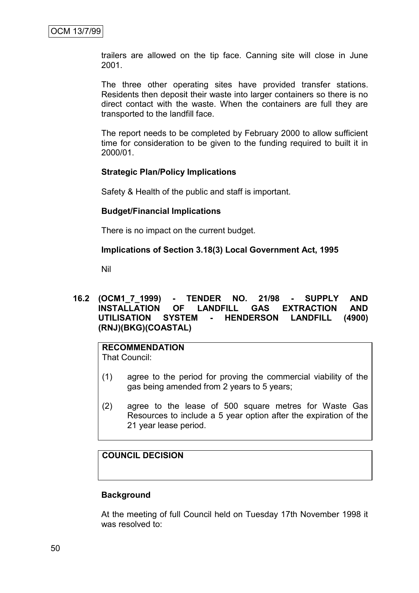trailers are allowed on the tip face. Canning site will close in June 2001.

The three other operating sites have provided transfer stations. Residents then deposit their waste into larger containers so there is no direct contact with the waste. When the containers are full they are transported to the landfill face.

The report needs to be completed by February 2000 to allow sufficient time for consideration to be given to the funding required to built it in 2000/01.

#### **Strategic Plan/Policy Implications**

Safety & Health of the public and staff is important.

#### **Budget/Financial Implications**

There is no impact on the current budget.

# **Implications of Section 3.18(3) Local Government Act, 1995**

Nil

# **16.2 (OCM1\_7\_1999) - TENDER NO. 21/98 - SUPPLY AND INSTALLATION OF LANDFILL GAS EXTRACTION UTILISATION SYSTEM - HENDERSON LANDFILL (4900) (RNJ)(BKG)(COASTAL)**

#### **RECOMMENDATION** That Council:

- (1) agree to the period for proving the commercial viability of the gas being amended from 2 years to 5 years;
- (2) agree to the lease of 500 square metres for Waste Gas Resources to include a 5 year option after the expiration of the 21 year lease period.

# **COUNCIL DECISION**

# **Background**

At the meeting of full Council held on Tuesday 17th November 1998 it was resolved to: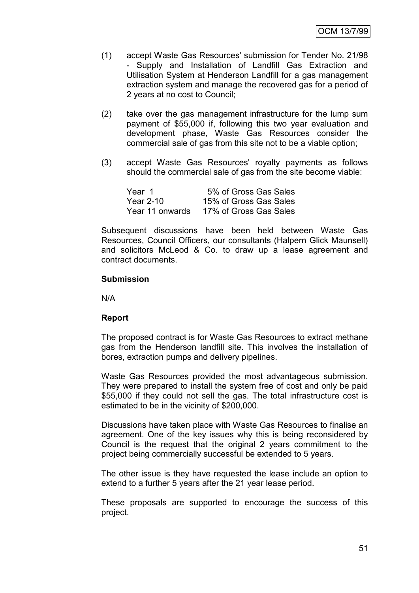- (1) accept Waste Gas Resources' submission for Tender No. 21/98 - Supply and Installation of Landfill Gas Extraction and Utilisation System at Henderson Landfill for a gas management extraction system and manage the recovered gas for a period of 2 years at no cost to Council;
- (2) take over the gas management infrastructure for the lump sum payment of \$55,000 if, following this two year evaluation and development phase, Waste Gas Resources consider the commercial sale of gas from this site not to be a viable option;
- (3) accept Waste Gas Resources' royalty payments as follows should the commercial sale of gas from the site become viable:

| Year 1          | 5% of Gross Gas Sales  |
|-----------------|------------------------|
| Year 2-10       | 15% of Gross Gas Sales |
| Year 11 onwards | 17% of Gross Gas Sales |

Subsequent discussions have been held between Waste Gas Resources, Council Officers, our consultants (Halpern Glick Maunsell) and solicitors McLeod & Co. to draw up a lease agreement and contract documents.

# **Submission**

N/A

# **Report**

The proposed contract is for Waste Gas Resources to extract methane gas from the Henderson landfill site. This involves the installation of bores, extraction pumps and delivery pipelines.

Waste Gas Resources provided the most advantageous submission. They were prepared to install the system free of cost and only be paid \$55,000 if they could not sell the gas. The total infrastructure cost is estimated to be in the vicinity of \$200,000.

Discussions have taken place with Waste Gas Resources to finalise an agreement. One of the key issues why this is being reconsidered by Council is the request that the original 2 years commitment to the project being commercially successful be extended to 5 years.

The other issue is they have requested the lease include an option to extend to a further 5 years after the 21 year lease period.

These proposals are supported to encourage the success of this project.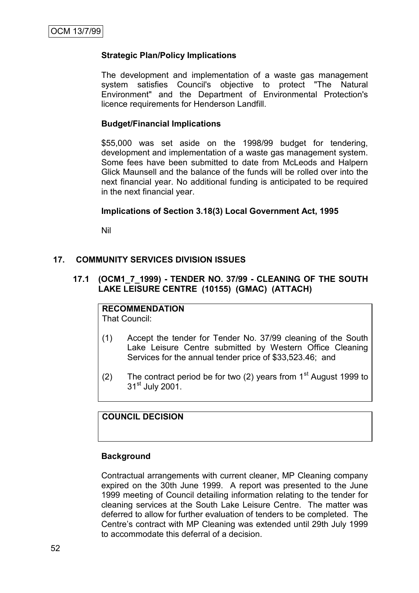# **Strategic Plan/Policy Implications**

The development and implementation of a waste gas management system satisfies Council's objective to protect "The Natural Environment" and the Department of Environmental Protection's licence requirements for Henderson Landfill.

### **Budget/Financial Implications**

\$55,000 was set aside on the 1998/99 budget for tendering, development and implementation of a waste gas management system. Some fees have been submitted to date from McLeods and Halpern Glick Maunsell and the balance of the funds will be rolled over into the next financial year. No additional funding is anticipated to be required in the next financial year.

#### **Implications of Section 3.18(3) Local Government Act, 1995**

Nil

#### **17. COMMUNITY SERVICES DIVISION ISSUES**

# **17.1 (OCM1\_7\_1999) - TENDER NO. 37/99 - CLEANING OF THE SOUTH LAKE LEISURE CENTRE (10155) (GMAC) (ATTACH)**

**RECOMMENDATION** That Council:

- (1) Accept the tender for Tender No. 37/99 cleaning of the South Lake Leisure Centre submitted by Western Office Cleaning Services for the annual tender price of \$33,523.46; and
- (2) The contract period be for two (2) years from  $1<sup>st</sup>$  August 1999 to  $31<sup>st</sup>$  July 2001.

# **COUNCIL DECISION**

#### **Background**

Contractual arrangements with current cleaner, MP Cleaning company expired on the 30th June 1999. A report was presented to the June 1999 meeting of Council detailing information relating to the tender for cleaning services at the South Lake Leisure Centre. The matter was deferred to allow for further evaluation of tenders to be completed. The Centre"s contract with MP Cleaning was extended until 29th July 1999 to accommodate this deferral of a decision.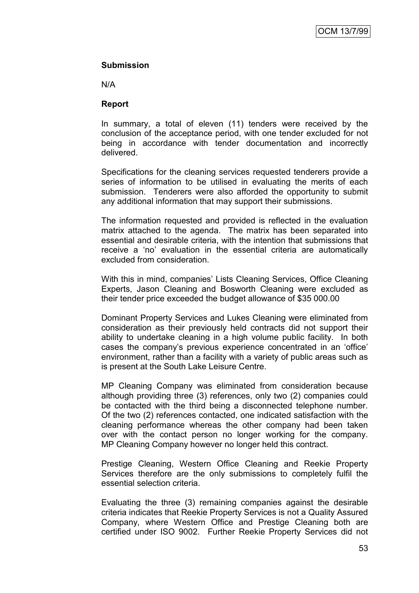# **Submission**

N/A

# **Report**

In summary, a total of eleven (11) tenders were received by the conclusion of the acceptance period, with one tender excluded for not being in accordance with tender documentation and incorrectly delivered.

Specifications for the cleaning services requested tenderers provide a series of information to be utilised in evaluating the merits of each submission. Tenderers were also afforded the opportunity to submit any additional information that may support their submissions.

The information requested and provided is reflected in the evaluation matrix attached to the agenda. The matrix has been separated into essential and desirable criteria, with the intention that submissions that receive a "no" evaluation in the essential criteria are automatically excluded from consideration.

With this in mind, companies' Lists Cleaning Services, Office Cleaning Experts, Jason Cleaning and Bosworth Cleaning were excluded as their tender price exceeded the budget allowance of \$35 000.00

Dominant Property Services and Lukes Cleaning were eliminated from consideration as their previously held contracts did not support their ability to undertake cleaning in a high volume public facility. In both cases the company"s previous experience concentrated in an "office" environment, rather than a facility with a variety of public areas such as is present at the South Lake Leisure Centre.

MP Cleaning Company was eliminated from consideration because although providing three (3) references, only two (2) companies could be contacted with the third being a disconnected telephone number. Of the two (2) references contacted, one indicated satisfaction with the cleaning performance whereas the other company had been taken over with the contact person no longer working for the company. MP Cleaning Company however no longer held this contract.

Prestige Cleaning, Western Office Cleaning and Reekie Property Services therefore are the only submissions to completely fulfil the essential selection criteria.

Evaluating the three (3) remaining companies against the desirable criteria indicates that Reekie Property Services is not a Quality Assured Company, where Western Office and Prestige Cleaning both are certified under ISO 9002. Further Reekie Property Services did not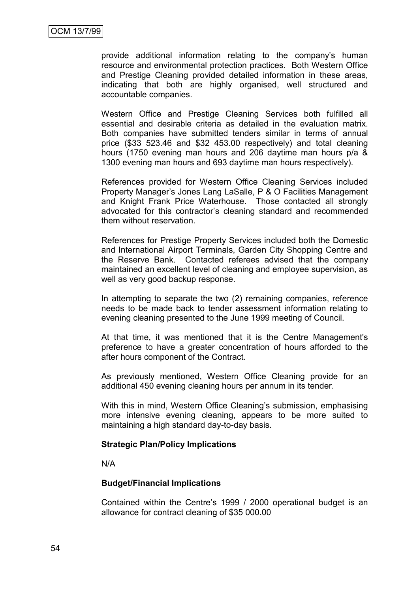provide additional information relating to the company"s human resource and environmental protection practices. Both Western Office and Prestige Cleaning provided detailed information in these areas, indicating that both are highly organised, well structured and accountable companies.

Western Office and Prestige Cleaning Services both fulfilled all essential and desirable criteria as detailed in the evaluation matrix. Both companies have submitted tenders similar in terms of annual price (\$33 523.46 and \$32 453.00 respectively) and total cleaning hours (1750 evening man hours and 206 daytime man hours p/a & 1300 evening man hours and 693 daytime man hours respectively).

References provided for Western Office Cleaning Services included Property Manager"s Jones Lang LaSalle, P & O Facilities Management and Knight Frank Price Waterhouse. Those contacted all strongly advocated for this contractor"s cleaning standard and recommended them without reservation.

References for Prestige Property Services included both the Domestic and International Airport Terminals, Garden City Shopping Centre and the Reserve Bank. Contacted referees advised that the company maintained an excellent level of cleaning and employee supervision, as well as very good backup response.

In attempting to separate the two (2) remaining companies, reference needs to be made back to tender assessment information relating to evening cleaning presented to the June 1999 meeting of Council.

At that time, it was mentioned that it is the Centre Management's preference to have a greater concentration of hours afforded to the after hours component of the Contract.

As previously mentioned, Western Office Cleaning provide for an additional 450 evening cleaning hours per annum in its tender.

With this in mind, Western Office Cleaning's submission, emphasising more intensive evening cleaning, appears to be more suited to maintaining a high standard day-to-day basis.

#### **Strategic Plan/Policy Implications**

N/A

#### **Budget/Financial Implications**

Contained within the Centre"s 1999 / 2000 operational budget is an allowance for contract cleaning of \$35 000.00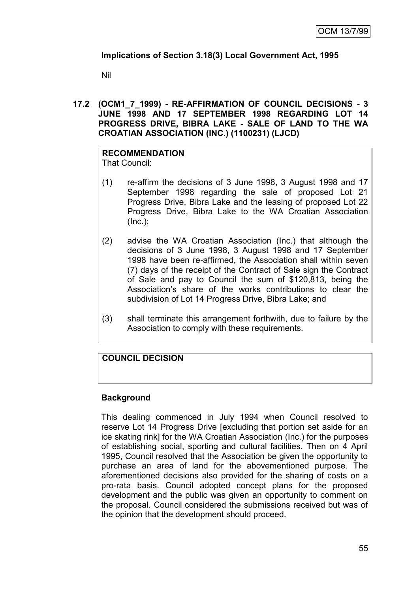# **Implications of Section 3.18(3) Local Government Act, 1995**

Nil

**17.2 (OCM1\_7\_1999) - RE-AFFIRMATION OF COUNCIL DECISIONS - 3 JUNE 1998 AND 17 SEPTEMBER 1998 REGARDING LOT 14 PROGRESS DRIVE, BIBRA LAKE - SALE OF LAND TO THE WA CROATIAN ASSOCIATION (INC.) (1100231) (LJCD)**

#### **RECOMMENDATION** That Council:

- (1) re-affirm the decisions of 3 June 1998, 3 August 1998 and 17 September 1998 regarding the sale of proposed Lot 21 Progress Drive, Bibra Lake and the leasing of proposed Lot 22 Progress Drive, Bibra Lake to the WA Croatian Association (Inc.);
- (2) advise the WA Croatian Association (Inc.) that although the decisions of 3 June 1998, 3 August 1998 and 17 September 1998 have been re-affirmed, the Association shall within seven (7) days of the receipt of the Contract of Sale sign the Contract of Sale and pay to Council the sum of \$120,813, being the Association"s share of the works contributions to clear the subdivision of Lot 14 Progress Drive, Bibra Lake; and
- (3) shall terminate this arrangement forthwith, due to failure by the Association to comply with these requirements.

# **COUNCIL DECISION**

# **Background**

This dealing commenced in July 1994 when Council resolved to reserve Lot 14 Progress Drive [excluding that portion set aside for an ice skating rink] for the WA Croatian Association (Inc.) for the purposes of establishing social, sporting and cultural facilities. Then on 4 April 1995, Council resolved that the Association be given the opportunity to purchase an area of land for the abovementioned purpose. The aforementioned decisions also provided for the sharing of costs on a pro-rata basis. Council adopted concept plans for the proposed development and the public was given an opportunity to comment on the proposal. Council considered the submissions received but was of the opinion that the development should proceed.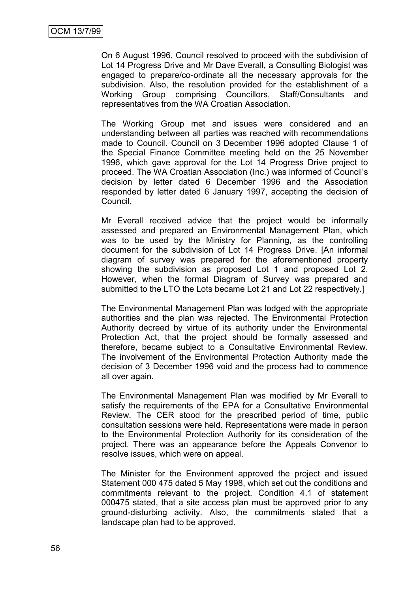On 6 August 1996, Council resolved to proceed with the subdivision of Lot 14 Progress Drive and Mr Dave Everall, a Consulting Biologist was engaged to prepare/co-ordinate all the necessary approvals for the subdivision. Also, the resolution provided for the establishment of a Working Group comprising Councillors, Staff/Consultants and representatives from the WA Croatian Association.

The Working Group met and issues were considered and an understanding between all parties was reached with recommendations made to Council. Council on 3 December 1996 adopted Clause 1 of the Special Finance Committee meeting held on the 25 November 1996, which gave approval for the Lot 14 Progress Drive project to proceed. The WA Croatian Association (Inc.) was informed of Council"s decision by letter dated 6 December 1996 and the Association responded by letter dated 6 January 1997, accepting the decision of Council.

Mr Everall received advice that the project would be informally assessed and prepared an Environmental Management Plan, which was to be used by the Ministry for Planning, as the controlling document for the subdivision of Lot 14 Progress Drive. [An informal diagram of survey was prepared for the aforementioned property showing the subdivision as proposed Lot 1 and proposed Lot 2. However, when the formal Diagram of Survey was prepared and submitted to the LTO the Lots became Lot 21 and Lot 22 respectively.]

The Environmental Management Plan was lodged with the appropriate authorities and the plan was rejected. The Environmental Protection Authority decreed by virtue of its authority under the Environmental Protection Act, that the project should be formally assessed and therefore, became subject to a Consultative Environmental Review. The involvement of the Environmental Protection Authority made the decision of 3 December 1996 void and the process had to commence all over again.

The Environmental Management Plan was modified by Mr Everall to satisfy the requirements of the EPA for a Consultative Environmental Review. The CER stood for the prescribed period of time, public consultation sessions were held. Representations were made in person to the Environmental Protection Authority for its consideration of the project. There was an appearance before the Appeals Convenor to resolve issues, which were on appeal.

The Minister for the Environment approved the project and issued Statement 000 475 dated 5 May 1998, which set out the conditions and commitments relevant to the project. Condition 4.1 of statement 000475 stated, that a site access plan must be approved prior to any ground-disturbing activity. Also, the commitments stated that a landscape plan had to be approved.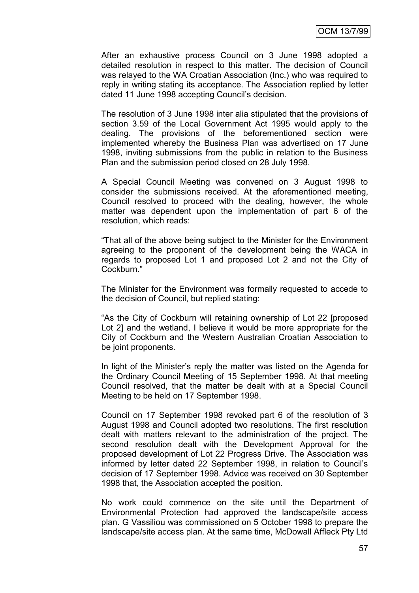After an exhaustive process Council on 3 June 1998 adopted a detailed resolution in respect to this matter. The decision of Council was relayed to the WA Croatian Association (Inc.) who was required to reply in writing stating its acceptance. The Association replied by letter dated 11 June 1998 accepting Council"s decision.

The resolution of 3 June 1998 inter alia stipulated that the provisions of section 3.59 of the Local Government Act 1995 would apply to the dealing. The provisions of the beforementioned section were implemented whereby the Business Plan was advertised on 17 June 1998, inviting submissions from the public in relation to the Business Plan and the submission period closed on 28 July 1998.

A Special Council Meeting was convened on 3 August 1998 to consider the submissions received. At the aforementioned meeting, Council resolved to proceed with the dealing, however, the whole matter was dependent upon the implementation of part 6 of the resolution, which reads:

"That all of the above being subject to the Minister for the Environment agreeing to the proponent of the development being the WACA in regards to proposed Lot 1 and proposed Lot 2 and not the City of Cockburn."

The Minister for the Environment was formally requested to accede to the decision of Council, but replied stating:

"As the City of Cockburn will retaining ownership of Lot 22 [proposed Lot 2] and the wetland, I believe it would be more appropriate for the City of Cockburn and the Western Australian Croatian Association to be joint proponents.

In light of the Minister"s reply the matter was listed on the Agenda for the Ordinary Council Meeting of 15 September 1998. At that meeting Council resolved, that the matter be dealt with at a Special Council Meeting to be held on 17 September 1998.

Council on 17 September 1998 revoked part 6 of the resolution of 3 August 1998 and Council adopted two resolutions. The first resolution dealt with matters relevant to the administration of the project. The second resolution dealt with the Development Approval for the proposed development of Lot 22 Progress Drive. The Association was informed by letter dated 22 September 1998, in relation to Council"s decision of 17 September 1998. Advice was received on 30 September 1998 that, the Association accepted the position.

No work could commence on the site until the Department of Environmental Protection had approved the landscape/site access plan. G Vassiliou was commissioned on 5 October 1998 to prepare the landscape/site access plan. At the same time, McDowall Affleck Pty Ltd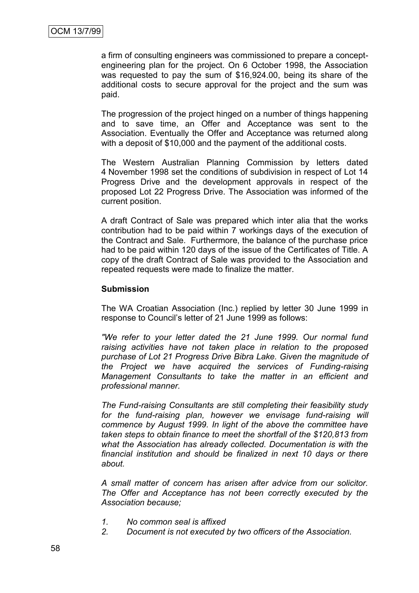a firm of consulting engineers was commissioned to prepare a conceptengineering plan for the project. On 6 October 1998, the Association was requested to pay the sum of \$16,924.00, being its share of the additional costs to secure approval for the project and the sum was paid.

The progression of the project hinged on a number of things happening and to save time, an Offer and Acceptance was sent to the Association. Eventually the Offer and Acceptance was returned along with a deposit of \$10,000 and the payment of the additional costs.

The Western Australian Planning Commission by letters dated 4 November 1998 set the conditions of subdivision in respect of Lot 14 Progress Drive and the development approvals in respect of the proposed Lot 22 Progress Drive. The Association was informed of the current position.

A draft Contract of Sale was prepared which inter alia that the works contribution had to be paid within 7 workings days of the execution of the Contract and Sale. Furthermore, the balance of the purchase price had to be paid within 120 days of the issue of the Certificates of Title. A copy of the draft Contract of Sale was provided to the Association and repeated requests were made to finalize the matter.

# **Submission**

The WA Croatian Association (Inc.) replied by letter 30 June 1999 in response to Council"s letter of 21 June 1999 as follows:

*"We refer to your letter dated the 21 June 1999. Our normal fund raising activities have not taken place in relation to the proposed purchase of Lot 21 Progress Drive Bibra Lake. Given the magnitude of the Project we have acquired the services of Funding-raising Management Consultants to take the matter in an efficient and professional manner.*

*The Fund-raising Consultants are still completing their feasibility study for the fund-raising plan, however we envisage fund-raising will commence by August 1999. In light of the above the committee have taken steps to obtain finance to meet the shortfall of the \$120,813 from what the Association has already collected. Documentation is with the financial institution and should be finalized in next 10 days or there about.*

*A small matter of concern has arisen after advice from our solicitor. The Offer and Acceptance has not been correctly executed by the Association because;*

- *1. No common seal is affixed*
- *2. Document is not executed by two officers of the Association.*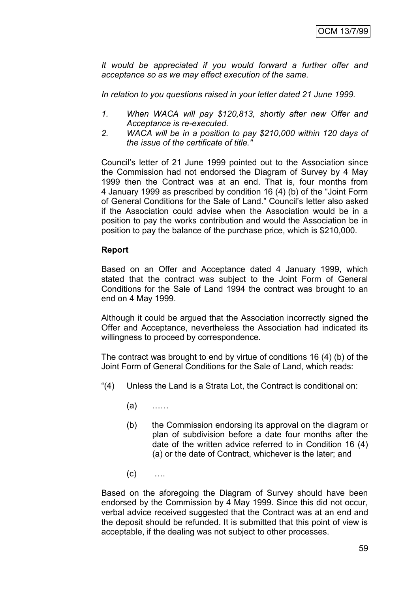*It would be appreciated if you would forward a further offer and acceptance so as we may effect execution of the same.*

*In relation to you questions raised in your letter dated 21 June 1999.*

- *1. When WACA will pay \$120,813, shortly after new Offer and Acceptance is re-executed.*
- *2. WACA will be in a position to pay \$210,000 within 120 days of the issue of the certificate of title."*

Council"s letter of 21 June 1999 pointed out to the Association since the Commission had not endorsed the Diagram of Survey by 4 May 1999 then the Contract was at an end. That is, four months from 4 January 1999 as prescribed by condition 16 (4) (b) of the "Joint Form of General Conditions for the Sale of Land." Council"s letter also asked if the Association could advise when the Association would be in a position to pay the works contribution and would the Association be in position to pay the balance of the purchase price, which is \$210,000.

#### **Report**

Based on an Offer and Acceptance dated 4 January 1999, which stated that the contract was subject to the Joint Form of General Conditions for the Sale of Land 1994 the contract was brought to an end on 4 May 1999.

Although it could be argued that the Association incorrectly signed the Offer and Acceptance, nevertheless the Association had indicated its willingness to proceed by correspondence.

The contract was brought to end by virtue of conditions 16 (4) (b) of the Joint Form of General Conditions for the Sale of Land, which reads:

- "(4) Unless the Land is a Strata Lot, the Contract is conditional on:
	- (a) ……
	- (b) the Commission endorsing its approval on the diagram or plan of subdivision before a date four months after the date of the written advice referred to in Condition 16 (4) (a) or the date of Contract, whichever is the later; and
	- $(c)$  ....

Based on the aforegoing the Diagram of Survey should have been endorsed by the Commission by 4 May 1999. Since this did not occur, verbal advice received suggested that the Contract was at an end and the deposit should be refunded. It is submitted that this point of view is acceptable, if the dealing was not subject to other processes.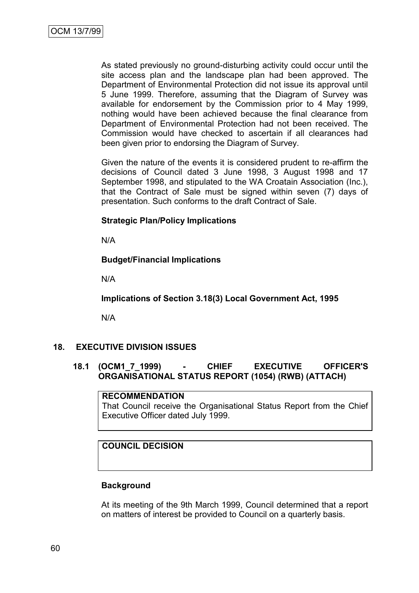As stated previously no ground-disturbing activity could occur until the site access plan and the landscape plan had been approved. The Department of Environmental Protection did not issue its approval until 5 June 1999. Therefore, assuming that the Diagram of Survey was available for endorsement by the Commission prior to 4 May 1999, nothing would have been achieved because the final clearance from Department of Environmental Protection had not been received. The Commission would have checked to ascertain if all clearances had been given prior to endorsing the Diagram of Survey.

Given the nature of the events it is considered prudent to re-affirm the decisions of Council dated 3 June 1998, 3 August 1998 and 17 September 1998, and stipulated to the WA Croatain Association (Inc.), that the Contract of Sale must be signed within seven (7) days of presentation. Such conforms to the draft Contract of Sale.

# **Strategic Plan/Policy Implications**

N/A

# **Budget/Financial Implications**

N/A

**Implications of Section 3.18(3) Local Government Act, 1995**

N/A

# **18. EXECUTIVE DIVISION ISSUES**

# **18.1 (OCM1\_7\_1999) - CHIEF EXECUTIVE OFFICER'S ORGANISATIONAL STATUS REPORT (1054) (RWB) (ATTACH)**

#### **RECOMMENDATION**

That Council receive the Organisational Status Report from the Chief Executive Officer dated July 1999.

# **COUNCIL DECISION**

# **Background**

At its meeting of the 9th March 1999, Council determined that a report on matters of interest be provided to Council on a quarterly basis.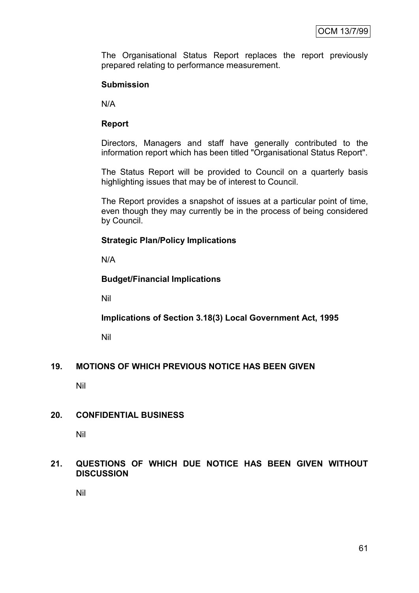The Organisational Status Report replaces the report previously prepared relating to performance measurement.

# **Submission**

N/A

# **Report**

Directors, Managers and staff have generally contributed to the information report which has been titled "Organisational Status Report".

The Status Report will be provided to Council on a quarterly basis highlighting issues that may be of interest to Council.

The Report provides a snapshot of issues at a particular point of time, even though they may currently be in the process of being considered by Council.

# **Strategic Plan/Policy Implications**

N/A

# **Budget/Financial Implications**

Nil

**Implications of Section 3.18(3) Local Government Act, 1995**

Nil

# **19. MOTIONS OF WHICH PREVIOUS NOTICE HAS BEEN GIVEN**

Nil

# **20. CONFIDENTIAL BUSINESS**

Nil

# **21. QUESTIONS OF WHICH DUE NOTICE HAS BEEN GIVEN WITHOUT DISCUSSION**

Nil